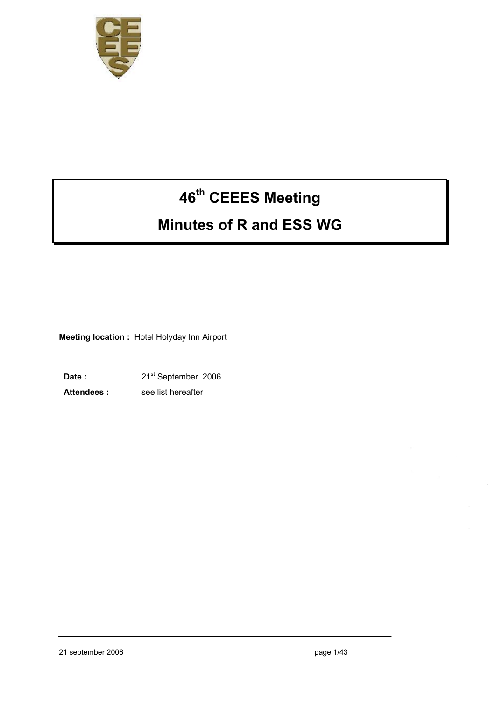

# **46th CEEES Meeting**

# **Minutes of R and ESS WG**

**Meeting location :** Hotel Holyday Inn Airport

Date : 21<sup>st</sup> September 2006 Attendees : see list hereafter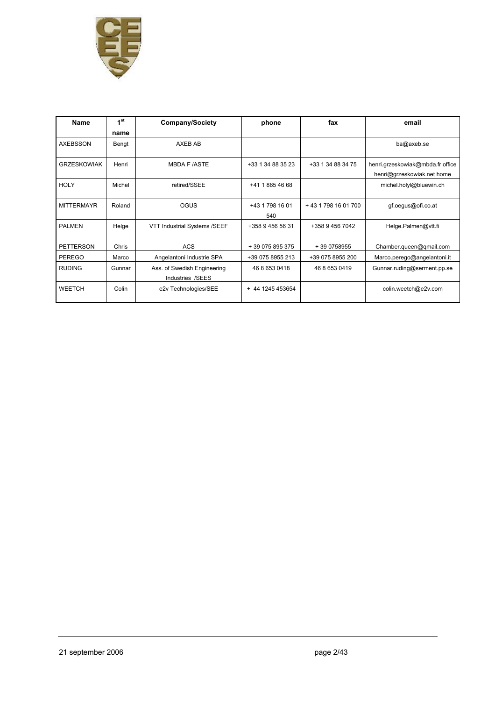

| <b>Name</b>        | 1 <sup>st</sup><br>name | <b>Company/Society</b>                          | phone                  | fax                | email                                                          |
|--------------------|-------------------------|-------------------------------------------------|------------------------|--------------------|----------------------------------------------------------------|
| <b>AXEBSSON</b>    | Bengt                   | AXEB AB                                         |                        |                    | ba@axeb.se                                                     |
| <b>GRZESKOWIAK</b> | Henri                   | <b>MBDA F/ASTE</b>                              | +33 1 34 88 35 23      | +33 1 34 88 34 75  | henri.grzeskowiak@mbda.fr office<br>henri@grzeskowiak.net home |
| <b>HOLY</b>        | Michel                  | retired/SSEE                                    | +41 1 865 46 68        |                    | michel.holyl@bluewin.ch                                        |
| <b>MITTERMAYR</b>  | Roland                  | <b>OGUS</b>                                     | +43 1 798 16 01<br>540 | +43 1798 16 01 700 | gf.oegus@ofi.co.at                                             |
| <b>PALMEN</b>      | Helge                   | VTT Industrial Systems /SEEF                    | +358 9 456 56 31       | +358 9 456 7042    | Helge.Palmen@vtt.fi                                            |
| <b>PETTERSON</b>   | Chris                   | <b>ACS</b>                                      | + 39 075 895 375       | +39 0758955        | Chamber.queen@qmail.com                                        |
| <b>PEREGO</b>      | Marco                   | Angelantoni Industrie SPA                       | +39 075 8955 213       | +39 075 8955 200   | Marco.perego@angelantoni.it                                    |
| <b>RUDING</b>      | Gunnar                  | Ass. of Swedish Engineering<br>Industries /SEES | 46 8 653 0418          | 46 8 653 0419      | Gunnar.ruding@serment.pp.se                                    |
| WEETCH             | Colin                   | e2v Technologies/SEE                            | + 44 1245 453654       |                    | colin.weetch@e2v.com                                           |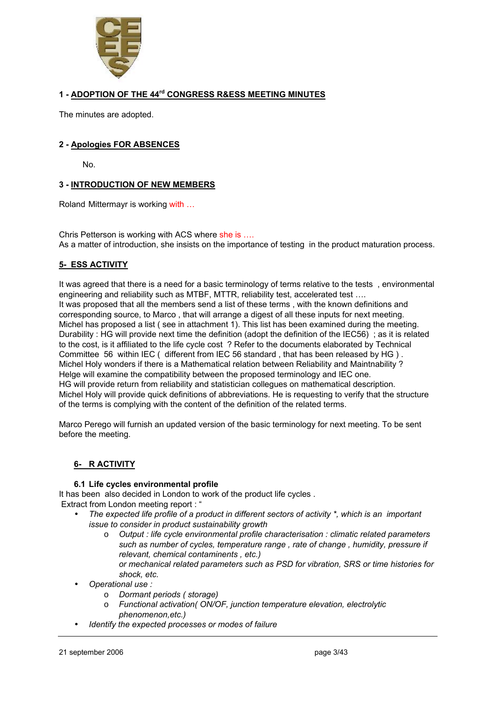

#### **1 - ADOPTION OF THE 44rd CONGRESS R&ESS MEETING MINUTES**

The minutes are adopted.

#### **2 - Apologies FOR ABSENCES**

No.

#### **3 - INTRODUCTION OF NEW MEMBERS**

Roland Mittermayr is working with …

Chris Petterson is working with ACS where she is …. As a matter of introduction, she insists on the importance of testing in the product maturation process.

#### **5- ESS ACTIVITY**

It was agreed that there is a need for a basic terminology of terms relative to the tests , environmental engineering and reliability such as MTBF, MTTR, reliability test, accelerated test …. It was proposed that all the members send a list of these terms , with the known definitions and corresponding source, to Marco , that will arrange a digest of all these inputs for next meeting. Michel has proposed a list ( see in attachment 1). This list has been examined during the meeting. Durability : HG will provide next time the definition (adopt the definition of the IEC56) ; as it is related to the cost, is it affiliated to the life cycle cost ? Refer to the documents elaborated by Technical Committee 56 within IEC ( different from IEC 56 standard , that has been released by HG ) . Michel Holy wonders if there is a Mathematical relation between Reliability and Maintnability ? Helge will examine the compatibility between the proposed terminology and IEC one. HG will provide return from reliability and statistician collegues on mathematical description. Michel Holy will provide quick definitions of abbreviations. He is requesting to verify that the structure of the terms is complying with the content of the definition of the related terms.

Marco Perego will furnish an updated version of the basic terminology for next meeting. To be sent before the meeting.

#### **6- R ACTIVITY**

#### **6.1 Life cycles environmental profile**

It has been also decided in London to work of the product life cycles . Extract from London meeting report : "

- *The expected life profile of a product in different sectors of activity \*, which is an important issue to consider in product sustainability growth*
	- o *Output : life cycle environmental profile characterisation : climatic related parameters such as number of cycles, temperature range , rate of change , humidity, pressure if relevant, chemical contaminents , etc.) or mechanical related parameters such as PSD for vibration, SRS or time histories for shock, etc.*
- *Operational use :*
	- o *Dormant periods ( storage)*
	- o *Functional activation( ON/OF, junction temperature elevation, electrolytic phenomenon,etc.)*
- *Identify the expected processes or modes of failure*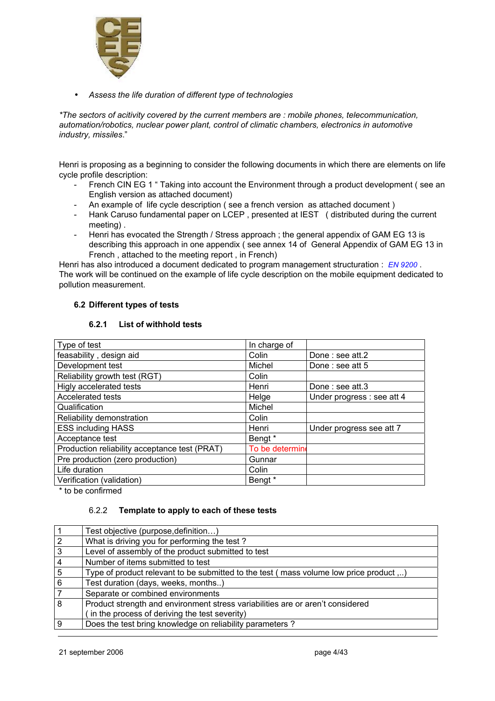

• *Assess the life duration of different type of technologies*

*\*The sectors of acitivity covered by the current members are : mobile phones, telecommunication, automation/robotics, nuclear power plant, control of climatic chambers, electronics in automotive industry, missiles*."

Henri is proposing as a beginning to consider the following documents in which there are elements on life cycle profile description:

- French CIN EG 1 " Taking into account the Environment through a product development ( see an English version as attached document)
- An example of life cycle description ( see a french version as attached document )
- Hank Caruso fundamental paper on LCEP , presented at IEST ( distributed during the current meeting) .
- Henri has evocated the Strength / Stress approach ; the general appendix of GAM EG 13 is describing this approach in one appendix ( see annex 14 of General Appendix of GAM EG 13 in French , attached to the meeting report , in French)

Henri has also introduced a document dedicated to program management structuration : *EN 9200* . The work will be continued on the example of life cycle description on the mobile equipment dedicated to pollution measurement.

#### **6.2 Different types of tests**

#### **6.2.1 List of withhold tests**

| Type of test                                  | In charge of    |                            |
|-----------------------------------------------|-----------------|----------------------------|
| feasability, design aid                       | Colin           | Done: see att.2            |
| Development test                              | Michel          | Done : see att 5           |
| Reliability growth test (RGT)                 | Colin           |                            |
| Higly accelerated tests                       | Henri           | Done: see att.3            |
| <b>Accelerated tests</b>                      | Helge           | Under progress : see att 4 |
| Qualification                                 | Michel          |                            |
| Reliability demonstration                     | Colin           |                            |
| <b>ESS including HASS</b>                     | Henri           | Under progress see att 7   |
| Acceptance test                               | Bengt *         |                            |
| Production reliability acceptance test (PRAT) | To be determine |                            |
| Pre production (zero production)              | Gunnar          |                            |
| Life duration                                 | Colin           |                            |
| Verification (validation)                     | Bengt *         |                            |

\* to be confirmed

#### 6.2.2 **Template to apply to each of these tests**

|                | Test objective (purpose, definition)                                                  |
|----------------|---------------------------------------------------------------------------------------|
| $\overline{2}$ | What is driving you for performing the test?                                          |
| 3              | Level of assembly of the product submitted to test                                    |
| $\overline{4}$ | Number of items submitted to test                                                     |
| 5              | Type of product relevant to be submitted to the test (mass volume low price product ) |
| $6\phantom{a}$ | Test duration (days, weeks, months)                                                   |
|                | Separate or combined environments                                                     |
| 8              | Product strength and environment stress variabilities are or aren't considered        |
|                | in the process of deriving the test severity)                                         |
| 9              | Does the test bring knowledge on reliability parameters?                              |
|                |                                                                                       |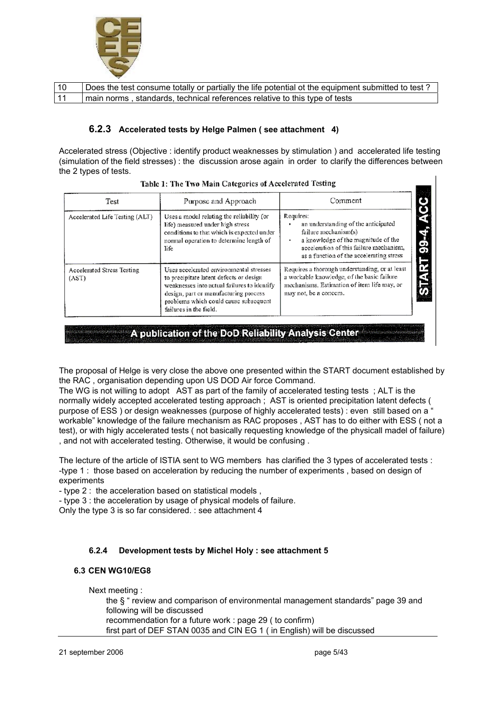

| 10 | Does the test consume totally or partially the life potential ot the equipment submitted to test? |
|----|---------------------------------------------------------------------------------------------------|
| 11 | main norms, standards, technical references relative to this type of tests                        |

#### **6.2.3 Accelerated tests by Helge Palmen ( see attachment 4)**

Accelerated stress (Objective : identify product weaknesses by stimulation ) and accelerated life testing (simulation of the field stresses) : the discussion arose again in order to clarify the differences between the 2 types of tests.

| Test                                       | Purpose and Approach                                                                                                                                                                                                                          | Comment                                                                                                                                                                                                |
|--------------------------------------------|-----------------------------------------------------------------------------------------------------------------------------------------------------------------------------------------------------------------------------------------------|--------------------------------------------------------------------------------------------------------------------------------------------------------------------------------------------------------|
| Accelerated Life Testing (ALT)             | Uses a model relating the reliability (or<br>life) measured under high stress<br>conditions to that which is expected under<br>normal operation to determine length of<br>life                                                                | Requires:<br>an understanding of the anticipated<br>failure mechanism(s)<br>a knowledge of the magnitude of the<br>acceleration of this failure mechanism.<br>as a function of the accelerating stress |
| <b>Accelerated Stress Testing</b><br>(AST) | Uses accelerated environmental stresses<br>to precipitate latent defects or design<br>weaknesses into actual failures to identify<br>design, part or manufacturing process<br>problems which could cause subsequent<br>failures in the field. | Requires a thorough understanding, or at least<br>a workable knowledge, of the basic failure<br>mechanisms. Estimation of item life may, or<br>may not, be a concern.                                  |

Table 1: The Two Main Categories of Accelerated Testing

### A publication of the DoD Reliability Analysis Center

The proposal of Helge is very close the above one presented within the START document established by the RAC , organisation depending upon US DOD Air force Command.

The WG is not willing to adopt AST as part of the family of accelerated testing tests ; ALT is the normally widely accepted accelerated testing approach ; AST is oriented precipitation latent defects ( purpose of ESS ) or design weaknesses (purpose of highly accelerated tests) : even still based on a ' workable" knowledge of the failure mechanism as RAC proposes , AST has to do either with ESS ( not a test), or with higly accelerated tests ( not basically requesting knowledge of the physicall madel of failure) , and not with accelerated testing. Otherwise, it would be confusing .

The lecture of the article of ISTIA sent to WG members has clarified the 3 types of accelerated tests : -type 1 : those based on acceleration by reducing the number of experiments , based on design of experiments

- type 2 : the acceleration based on statistical models ,

- type 3 : the acceleration by usage of physical models of failure.

Only the type 3 is so far considered. : see attachment 4

#### **6.2.4 Development tests by Michel Holy : see attachment 5**

#### **6.3 CEN WG10/EG8**

Next meeting :

the § " review and comparison of environmental management standards" page 39 and following will be discussed recommendation for a future work : page 29 ( to confirm) first part of DEF STAN 0035 and CIN EG 1 ( in English) will be discussed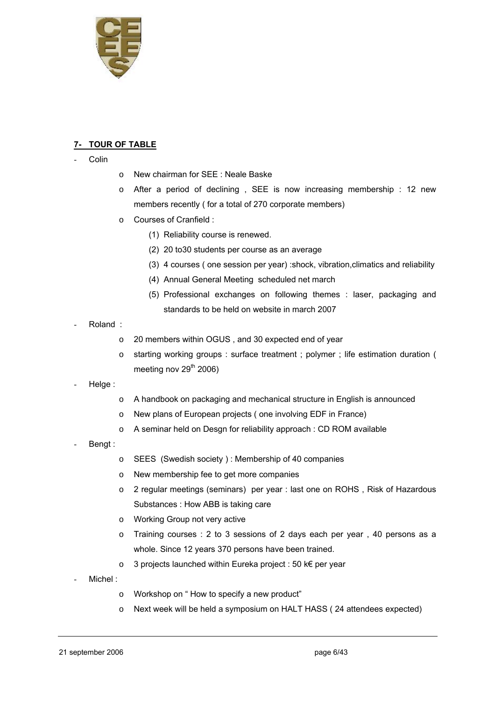

#### **7- TOUR OF TABLE**

- **Colin**
- o New chairman for SEE : Neale Baske
- $\circ$  After a period of declining , SEE is now increasing membership : 12 new members recently ( for a total of 270 corporate members)
- o Courses of Cranfield :
	- (1) Reliability course is renewed.
	- (2) 20 to30 students per course as an average
	- (3) 4 courses ( one session per year) :shock, vibration,climatics and reliability
	- (4) Annual General Meeting scheduled net march
	- (5) Professional exchanges on following themes : laser, packaging and standards to be held on website in march 2007
- Roland :
	- o 20 members within OGUS , and 30 expected end of year
	- o starting working groups : surface treatment ; polymer ; life estimation duration ( meeting nov  $29<sup>th</sup> 2006$ )
- Helge :
- o A handbook on packaging and mechanical structure in English is announced
- o New plans of European projects ( one involving EDF in France)
- o A seminar held on Desgn for reliability approach : CD ROM available
- Bengt:
- o SEES (Swedish society ) : Membership of 40 companies
- o New membership fee to get more companies
- o 2 regular meetings (seminars) per year : last one on ROHS , Risk of Hazardous Substances : How ABB is taking care
- o Working Group not very active
- o Training courses : 2 to 3 sessions of 2 days each per year , 40 persons as a whole. Since 12 years 370 persons have been trained.
- o 3 projects launched within Eureka project : 50 k€ per year
- Michel:
	- o Workshop on " How to specify a new product"
	- o Next week will be held a symposium on HALT HASS ( 24 attendees expected)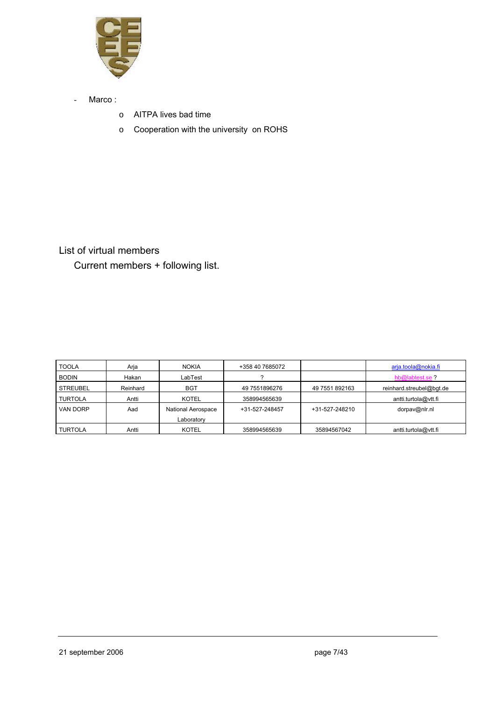

- Marco :
	- o AITPA lives bad time
	- o Cooperation with the university on ROHS

List of virtual members Current members + following list.

| <b>TOOLA</b>    | Arja     | <b>NOKIA</b>                     | +358 40 7685072 |                | arja.toola@nokia.fi      |
|-----------------|----------|----------------------------------|-----------------|----------------|--------------------------|
| <b>BODIN</b>    | Hakan    | LabTest                          |                 |                | hb@labtest.se?           |
| <b>STREUBEL</b> | Reinhard | <b>BGT</b>                       | 49 7551896276   | 49 7551 892163 | reinhard.streubel@bqt.de |
| <b>TURTOLA</b>  | Antti    | <b>KOTEL</b>                     | 358994565639    |                | antti.turtola@vtt.fi     |
| VAN DORP        | Aad      | National Aerospace<br>Laboratory | +31-527-248457  | +31-527-248210 | dorpav@nlr.nl            |
| <b>TURTOLA</b>  | Antti    | <b>KOTEL</b>                     | 358994565639    | 35894567042    | antti.turtola@vtt.fi     |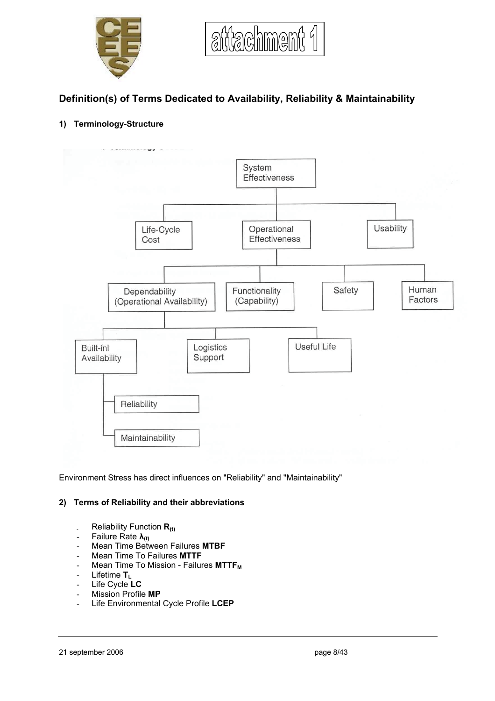



# **Definition(s) of Terms Dedicated to Availability, Reliability & Maintainability**

#### **1) Terminology-Structure**



Environment Stress has direct influences on "Reliability" and "Maintainability"

#### **2) Terms of Reliability and their abbreviations**

- Reliability Function **R(t)**
- $\overline{ }$  Failure Rate  $\lambda_{(t)}$
- Mean Time Between Failures **MTBF**
- Mean Time To Failures **MTTF**
- Mean Time To Mission Failures MTTF<sub>M</sub>
- Lifetime **TL**
- Life Cycle **LC**
- Mission Profile **MP**
- Life Environmental Cycle Profile **LCEP**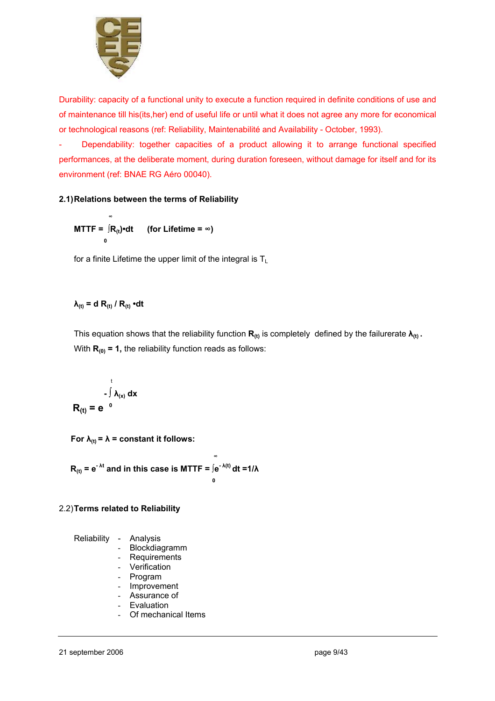

Durability: capacity of a functional unity to execute a function required in definite conditions of use and of maintenance till his(its,her) end of useful life or until what it does not agree any more for economical or technological reasons (ref: Reliability, Maintenabilité and Availability - October, 1993).

Dependability: together capacities of a product allowing it to arrange functional specified performances, at the deliberate moment, during duration foreseen, without damage for itself and for its environment (ref: BNAE RG Aéro 00040).

#### **2.1) Relations between the terms of Reliability**

$$
MTTF = \int_{0}^{\infty} R_{(t)} \cdot dt \qquad \text{(for Life time = } \infty\text{)}
$$

for a finite Lifetime the upper limit of the integral is  $T_L$ 

#### $\lambda_{(t)} = d R_{(t)} / R_{(t)} \cdot dt$

This equation shows that the reliability function  $\mathbf{R}_{(t)}$  is completely defined by the failurerate  $\lambda_{(t)}$ . With  $R_{(0)} = 1$ , the reliability function reads as follows:

$$
= \int_{0}^{t} \lambda_{(x)} dx
$$

$$
R_{(t)} = e^{-\theta}
$$

**For**  $\lambda_{(t)} = \lambda$  **= constant it follows:** 

$$
R_{(t)} = e^{-\lambda t} \text{ and in this case is MTTF} = \int_{0}^{\infty} e^{-\lambda(t)} dt = 1/\lambda
$$

#### 2.2) **Terms related to Reliability**

Reliability - Analysis

- Blockdiagramm
- **Requirements**
- Verification
- Program
- Improvement
- Assurance of
- **Evaluation**
- Of mechanical Items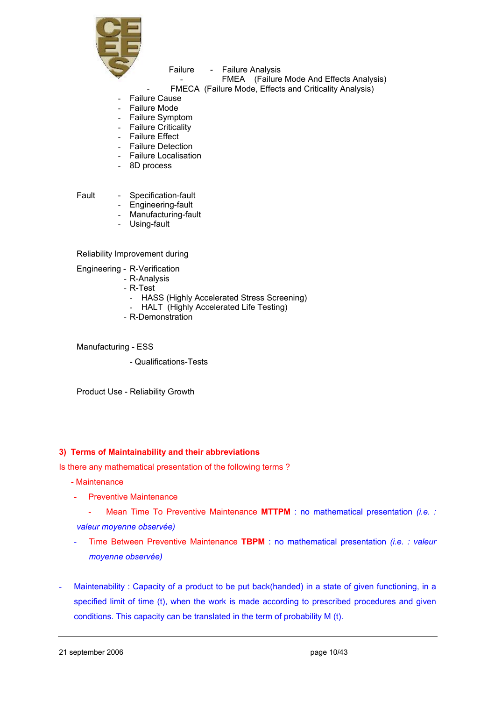

#### Failure - Failure Analysis

FMEA (Failure Mode And Effects Analysis)

- FMECA (Failure Mode, Effects and Criticality Analysis)
- Failure Cause
- **Failure Mode**
- Failure Symptom
- Failure Criticality
- Failure Effect
- Failure Detection
- Failure Localisation
- 8D process

Fault - Specification-fault

- Engineering-fault
- Manufacturing-fault
- Using-fault

Reliability Improvement during

Engineering - R-Verification

- R-Analysis
- R-Test
	- HASS (Highly Accelerated Stress Screening)
- HALT (Highly Accelerated Life Testing)
- R-Demonstration

Manufacturing - ESS

- Qualifications-Tests

Product Use - Reliability Growth

#### **3) Terms of Maintainability and their abbreviations**

Is there any mathematical presentation of the following terms ?

- Maintenance
- Preventive Maintenance
- Mean Time To Preventive Maintenance **MTTPM** : no mathematical presentation *(i.e. : valeur moyenne observée)*
- Time Between Preventive Maintenance **TBPM** : no mathematical presentation *(i.e. : valeur moyenne observée)*
- Maintenability : Capacity of a product to be put back(handed) in a state of given functioning, in a specified limit of time (t), when the work is made according to prescribed procedures and given conditions. This capacity can be translated in the term of probability M (t).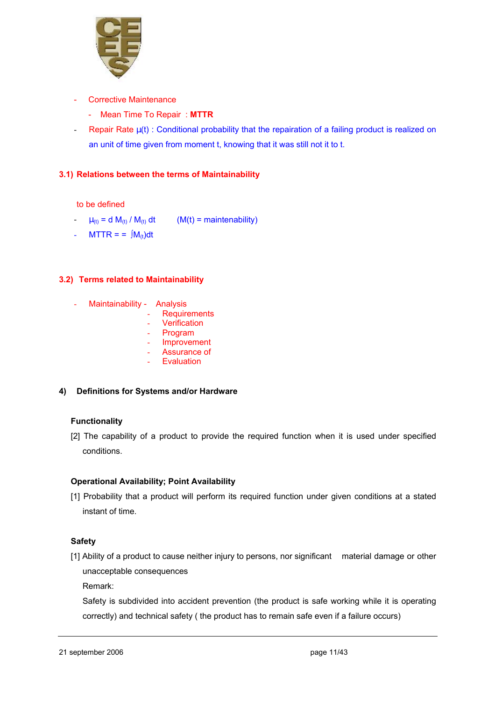

- Corrective Maintenance
	- Mean Time To Repair : **MTTR**
- Repair Rate  $\mu(t)$  : Conditional probability that the repairation of a failing product is realized on an unit of time given from moment t, knowing that it was still not it to t.

#### **3.1) Relations between the terms of Maintainability**

to be defined

- $-\mu_{(t)} = d M_{(t)}/M_{(t)} dt$  (M(t) = maintenability)
- MTTR = =  $[M_{(t)}]dt$

#### **3.2) Terms related to Maintainability**

- Maintainability Analysis
	- Requirements
		- **Verification**
	- **Program**
	- **Improvement**
	- Assurance of **Evaluation**
- **4) Definitions for Systems and/or Hardware**

#### **Functionality**

[2] The capability of a product to provide the required function when it is used under specified conditions.

#### **Operational Availability; Point Availability**

[1] Probability that a product will perform its required function under given conditions at a stated instant of time.

#### **Safety**

[1] Ability of a product to cause neither injury to persons, nor significant material damage or other unacceptable consequences

Remark:

Safety is subdivided into accident prevention (the product is safe working while it is operating correctly) and technical safety ( the product has to remain safe even if a failure occurs)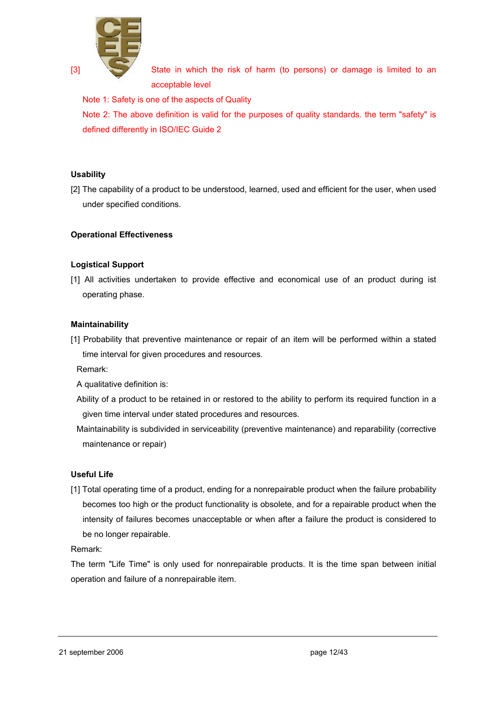

[3] State in which the risk of harm (to persons) or damage is limited to an acceptable level

Note 1: Safety is one of the aspects of Quality

Note 2: The above definition is valid for the purposes of quality standards, the term "safety" is defined differently in ISO/IEC Guide 2

#### **Usability**

[2] The capability of a product to be understood, learned, used and efficient for the user, when used under specified conditions.

#### **Operational Effectiveness**

#### **Logistical Support**

[1] All activities undertaken to provide effective and economical use of an product during ist operating phase.

#### **Maintainability**

[1] Probability that preventive maintenance or repair of an item will be performed within a stated time interval for given procedures and resources.

Remark:

- A qualitative definition is:
- Ability of a product to be retained in or restored to the ability to perform its required function in a given time interval under stated procedures and resources.
- Maintainability is subdivided in serviceability (preventive maintenance) and reparability (corrective maintenance or repair)

#### **Useful Life**

[1] Total operating time of a product, ending for a nonrepairable product when the failure probability becomes too high or the product functionality is obsolete, and for a repairable product when the intensity of failures becomes unacceptable or when after a failure the product is considered to be no longer repairable.

Remark:

The term "Life Time" is only used for nonrepairable products. It is the time span between initial operation and failure of a nonrepairable item.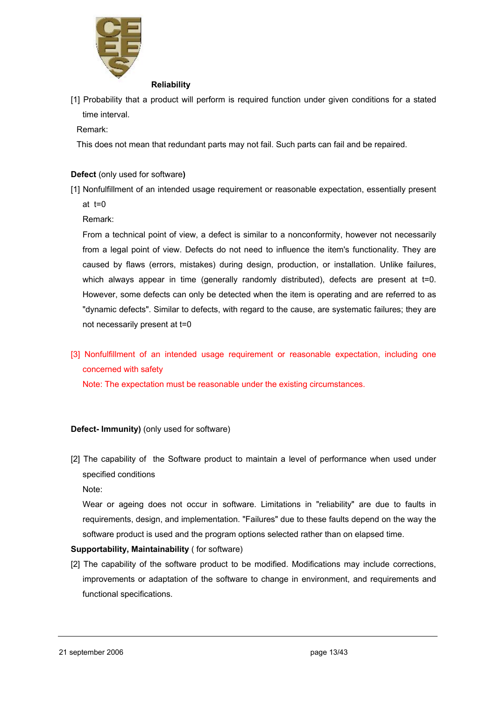

#### **Reliability**

[1] Probability that a product will perform is required function under given conditions for a stated time interval.

#### Remark:

This does not mean that redundant parts may not fail. Such parts can fail and be repaired.

#### **Defect** (only used for software**)**

[1] Nonfulfillment of an intended usage requirement or reasonable expectation, essentially present at  $t=0$ 

Remark:

 From a technical point of view, a defect is similar to a nonconformity, however not necessarily from a legal point of view. Defects do not need to influence the item's functionality. They are caused by flaws (errors, mistakes) during design, production, or installation. Unlike failures, which always appear in time (generally randomly distributed), defects are present at t=0. However, some defects can only be detected when the item is operating and are referred to as "dynamic defects". Similar to defects, with regard to the cause, are systematic failures; they are not necessarily present at t=0

[3] Nonfulfillment of an intended usage requirement or reasonable expectation, including one concerned with safety

Note: The expectation must be reasonable under the existing circumstances.

#### **Defect- Immunity)** (only used for software)

[2] The capability of the Software product to maintain a level of performance when used under specified conditions

Note:

Wear or ageing does not occur in software. Limitations in "reliability" are due to faults in requirements, design, and implementation. "Failures" due to these faults depend on the way the software product is used and the program options selected rather than on elapsed time.

#### **Supportability, Maintainability** ( for software)

[2] The capability of the software product to be modified. Modifications may include corrections, improvements or adaptation of the software to change in environment, and requirements and functional specifications.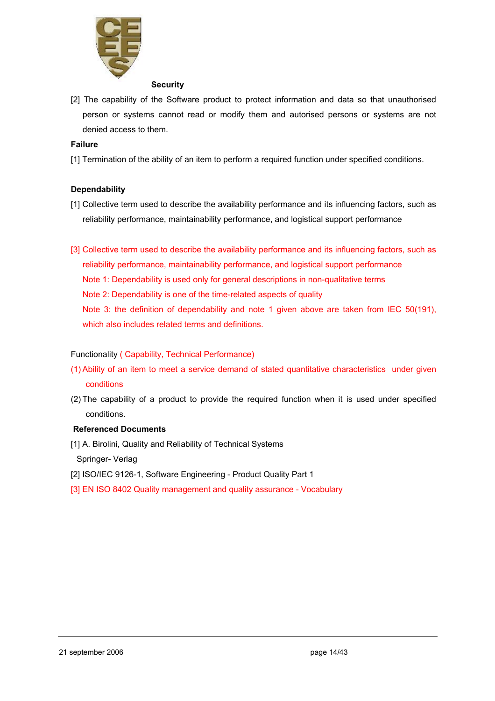

#### **Security**

[2] The capability of the Software product to protect information and data so that unauthorised person or systems cannot read or modify them and autorised persons or systems are not denied access to them.

#### **Failure**

[1] Termination of the ability of an item to perform a required function under specified conditions.

#### **Dependability**

- [1] Collective term used to describe the availability performance and its influencing factors, such as reliability performance, maintainability performance, and logistical support performance
- [3] Collective term used to describe the availability performance and its influencing factors, such as reliability performance, maintainability performance, and logistical support performance Note 1: Dependability is used only for general descriptions in non-qualitative terms Note 2: Dependability is one of the time-related aspects of quality Note 3: the definition of dependability and note 1 given above are taken from IEC 50(191), which also includes related terms and definitions.

#### Functionality ( Capability, Technical Performance)

- (1) Ability of an item to meet a service demand of stated quantitative characteristics under given conditions
- (2) The capability of a product to provide the required function when it is used under specified conditions.

#### **Referenced Documents**

- [1] A. Birolini, Quality and Reliability of Technical Systems Springer- Verlag
- [2] ISO/IEC 9126-1, Software Engineering Product Quality Part 1
- [3] EN ISO 8402 Quality management and quality assurance Vocabulary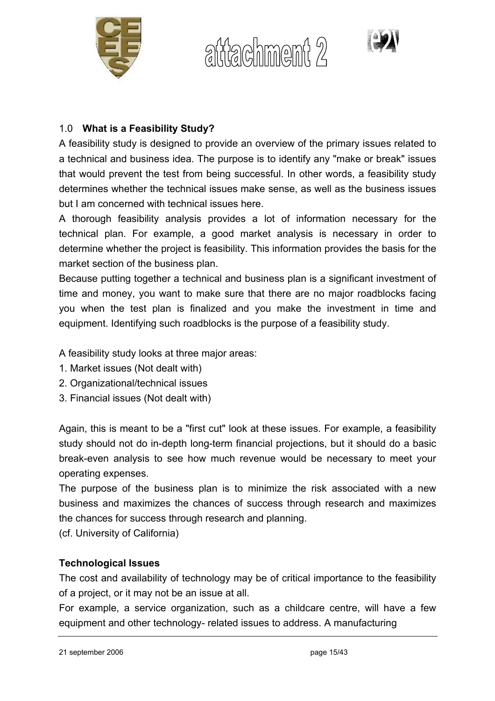

altiachment 2



# 1.0 **What is a Feasibility Study?**

A feasibility study is designed to provide an overview of the primary issues related to a technical and business idea. The purpose is to identify any "make or break" issues that would prevent the test from being successful. In other words, a feasibility study determines whether the technical issues make sense, as well as the business issues but I am concerned with technical issues here.

A thorough feasibility analysis provides a lot of information necessary for the technical plan. For example, a good market analysis is necessary in order to determine whether the project is feasibility. This information provides the basis for the market section of the business plan.

Because putting together a technical and business plan is a significant investment of time and money, you want to make sure that there are no major roadblocks facing you when the test plan is finalized and you make the investment in time and equipment. Identifying such roadblocks is the purpose of a feasibility study.

A feasibility study looks at three major areas:

- 1. Market issues (Not dealt with)
- 2. Organizational/technical issues
- 3. Financial issues (Not dealt with)

Again, this is meant to be a "first cut" look at these issues. For example, a feasibility study should not do in-depth long-term financial projections, but it should do a basic break-even analysis to see how much revenue would be necessary to meet your operating expenses.

The purpose of the business plan is to minimize the risk associated with a new business and maximizes the chances of success through research and maximizes the chances for success through research and planning.

(cf. University of California)

# **Technological Issues**

The cost and availability of technology may be of critical importance to the feasibility of a project, or it may not be an issue at all.

For example, a service organization, such as a childcare centre, will have a few equipment and other technology- related issues to address. A manufacturing

```
21 september 2006 page 15/43
```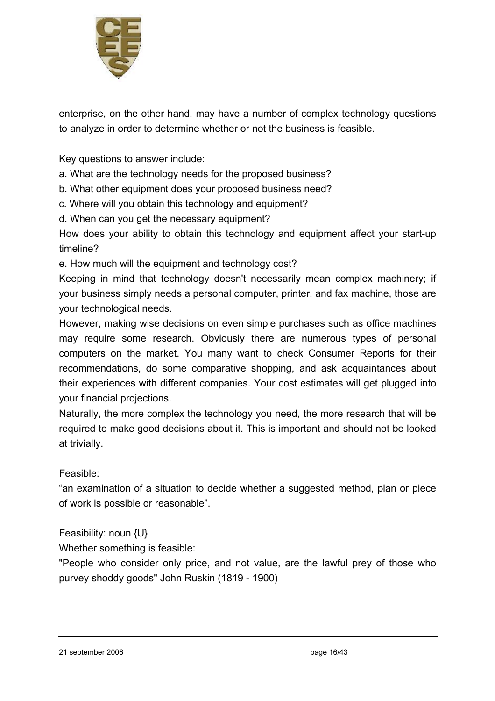

enterprise, on the other hand, may have a number of complex technology questions to analyze in order to determine whether or not the business is feasible.

Key questions to answer include:

a. What are the technology needs for the proposed business?

b. What other equipment does your proposed business need?

c. Where will you obtain this technology and equipment?

d. When can you get the necessary equipment?

How does your ability to obtain this technology and equipment affect your start-up timeline?

e. How much will the equipment and technology cost?

Keeping in mind that technology doesn't necessarily mean complex machinery; if your business simply needs a personal computer, printer, and fax machine, those are your technological needs.

However, making wise decisions on even simple purchases such as office machines may require some research. Obviously there are numerous types of personal computers on the market. You many want to check Consumer Reports for their recommendations, do some comparative shopping, and ask acquaintances about their experiences with different companies. Your cost estimates will get plugged into your financial projections.

Naturally, the more complex the technology you need, the more research that will be required to make good decisions about it. This is important and should not be looked at trivially.

## Feasible:

"an examination of a situation to decide whether a suggested method, plan or piece of work is possible or reasonable".

Feasibility: noun {U}

Whether something is feasible:

"People who consider only price, and not value, are the lawful prey of those who purvey shoddy goods" John Ruskin (1819 - 1900)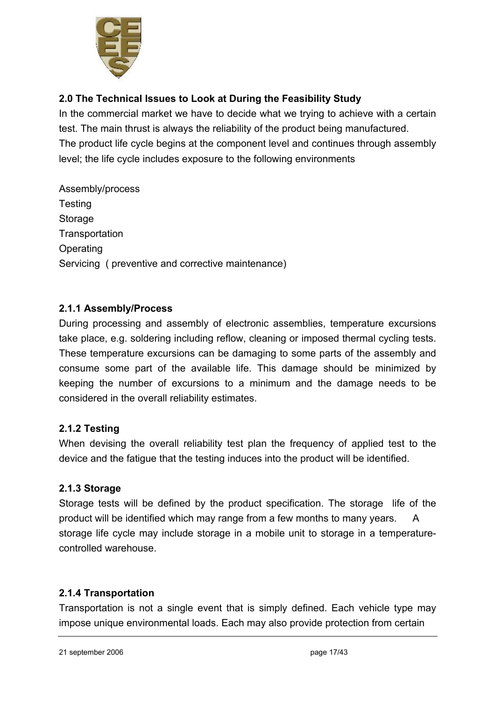

# **2.0 The Technical Issues to Look at During the Feasibility Study**

In the commercial market we have to decide what we trying to achieve with a certain test. The main thrust is always the reliability of the product being manufactured. The product life cycle begins at the component level and continues through assembly level; the life cycle includes exposure to the following environments

Assembly/process **Testing Storage Transportation Operating** Servicing ( preventive and corrective maintenance)

# **2.1.1 Assembly/Process**

During processing and assembly of electronic assemblies, temperature excursions take place, e.g. soldering including reflow, cleaning or imposed thermal cycling tests. These temperature excursions can be damaging to some parts of the assembly and consume some part of the available life. This damage should be minimized by keeping the number of excursions to a minimum and the damage needs to be considered in the overall reliability estimates.

## **2.1.2 Testing**

When devising the overall reliability test plan the frequency of applied test to the device and the fatigue that the testing induces into the product will be identified.

## **2.1.3 Storage**

Storage tests will be defined by the product specification. The storage life of the product will be identified which may range from a few months to many years. A storage life cycle may include storage in a mobile unit to storage in a temperaturecontrolled warehouse.

## **2.1.4 Transportation**

Transportation is not a single event that is simply defined. Each vehicle type may impose unique environmental loads. Each may also provide protection from certain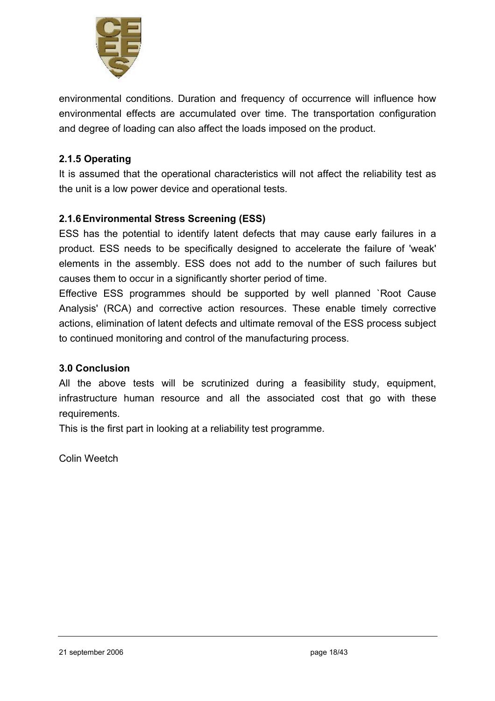

environmental conditions. Duration and frequency of occurrence will influence how environmental effects are accumulated over time. The transportation configuration and degree of loading can also affect the loads imposed on the product.

# **2.1.5 Operating**

It is assumed that the operational characteristics will not affect the reliability test as the unit is a low power device and operational tests.

## **2.1.6 Environmental Stress Screening (ESS)**

ESS has the potential to identify latent defects that may cause early failures in a product. ESS needs to be specifically designed to accelerate the failure of 'weak' elements in the assembly. ESS does not add to the number of such failures but causes them to occur in a significantly shorter period of time.

Effective ESS programmes should be supported by well planned `Root Cause Analysis' (RCA) and corrective action resources. These enable timely corrective actions, elimination of latent defects and ultimate removal of the ESS process subject to continued monitoring and control of the manufacturing process.

## **3.0 Conclusion**

All the above tests will be scrutinized during a feasibility study, equipment, infrastructure human resource and all the associated cost that go with these requirements.

This is the first part in looking at a reliability test programme.

Colin Weetch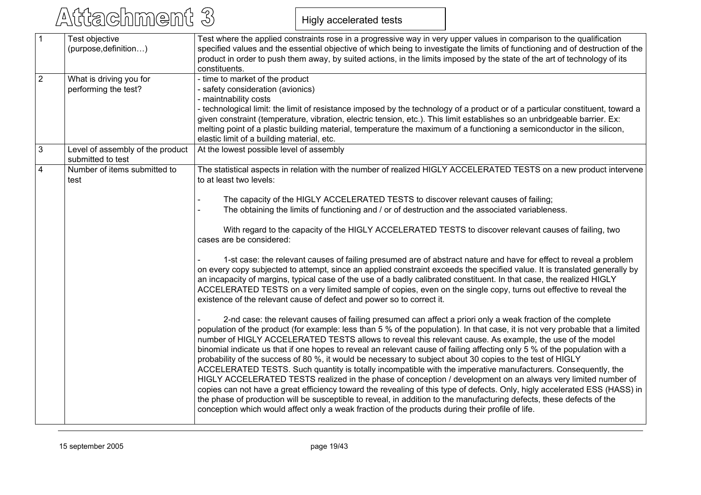# Attachment 3

Higly accelerated tests

| $\overline{1}$ | Test objective                                        | Test where the applied constraints rose in a progressive way in very upper values in comparison to the qualification                                                                                                                                                                                                                                                                                                                                                                                                                                                                                                                                                                                                                                                                                                                                                                                                                                                                                                                                                                                                                                                                             |  |
|----------------|-------------------------------------------------------|--------------------------------------------------------------------------------------------------------------------------------------------------------------------------------------------------------------------------------------------------------------------------------------------------------------------------------------------------------------------------------------------------------------------------------------------------------------------------------------------------------------------------------------------------------------------------------------------------------------------------------------------------------------------------------------------------------------------------------------------------------------------------------------------------------------------------------------------------------------------------------------------------------------------------------------------------------------------------------------------------------------------------------------------------------------------------------------------------------------------------------------------------------------------------------------------------|--|
|                | (purpose, definition)                                 | specified values and the essential objective of which being to investigate the limits of functioning and of destruction of the                                                                                                                                                                                                                                                                                                                                                                                                                                                                                                                                                                                                                                                                                                                                                                                                                                                                                                                                                                                                                                                                   |  |
|                |                                                       | product in order to push them away, by suited actions, in the limits imposed by the state of the art of technology of its                                                                                                                                                                                                                                                                                                                                                                                                                                                                                                                                                                                                                                                                                                                                                                                                                                                                                                                                                                                                                                                                        |  |
|                |                                                       | constituents.                                                                                                                                                                                                                                                                                                                                                                                                                                                                                                                                                                                                                                                                                                                                                                                                                                                                                                                                                                                                                                                                                                                                                                                    |  |
| $\overline{2}$ | What is driving you for                               | - time to market of the product                                                                                                                                                                                                                                                                                                                                                                                                                                                                                                                                                                                                                                                                                                                                                                                                                                                                                                                                                                                                                                                                                                                                                                  |  |
|                | performing the test?                                  | - safety consideration (avionics)                                                                                                                                                                                                                                                                                                                                                                                                                                                                                                                                                                                                                                                                                                                                                                                                                                                                                                                                                                                                                                                                                                                                                                |  |
|                |                                                       | - maintnability costs                                                                                                                                                                                                                                                                                                                                                                                                                                                                                                                                                                                                                                                                                                                                                                                                                                                                                                                                                                                                                                                                                                                                                                            |  |
|                |                                                       | - technological limit: the limit of resistance imposed by the technology of a product or of a particular constituent, toward a                                                                                                                                                                                                                                                                                                                                                                                                                                                                                                                                                                                                                                                                                                                                                                                                                                                                                                                                                                                                                                                                   |  |
|                |                                                       | given constraint (temperature, vibration, electric tension, etc.). This limit establishes so an unbridgeable barrier. Ex:                                                                                                                                                                                                                                                                                                                                                                                                                                                                                                                                                                                                                                                                                                                                                                                                                                                                                                                                                                                                                                                                        |  |
|                |                                                       | melting point of a plastic building material, temperature the maximum of a functioning a semiconductor in the silicon,                                                                                                                                                                                                                                                                                                                                                                                                                                                                                                                                                                                                                                                                                                                                                                                                                                                                                                                                                                                                                                                                           |  |
|                |                                                       | elastic limit of a building material, etc.                                                                                                                                                                                                                                                                                                                                                                                                                                                                                                                                                                                                                                                                                                                                                                                                                                                                                                                                                                                                                                                                                                                                                       |  |
| $\mathbf{3}$   | Level of assembly of the product<br>submitted to test | At the lowest possible level of assembly                                                                                                                                                                                                                                                                                                                                                                                                                                                                                                                                                                                                                                                                                                                                                                                                                                                                                                                                                                                                                                                                                                                                                         |  |
| $\overline{4}$ | Number of items submitted to<br>test                  | The statistical aspects in relation with the number of realized HIGLY ACCELERATED TESTS on a new product intervene<br>to at least two levels:                                                                                                                                                                                                                                                                                                                                                                                                                                                                                                                                                                                                                                                                                                                                                                                                                                                                                                                                                                                                                                                    |  |
|                |                                                       |                                                                                                                                                                                                                                                                                                                                                                                                                                                                                                                                                                                                                                                                                                                                                                                                                                                                                                                                                                                                                                                                                                                                                                                                  |  |
|                |                                                       | The capacity of the HIGLY ACCELERATED TESTS to discover relevant causes of failing;                                                                                                                                                                                                                                                                                                                                                                                                                                                                                                                                                                                                                                                                                                                                                                                                                                                                                                                                                                                                                                                                                                              |  |
|                |                                                       | The obtaining the limits of functioning and / or of destruction and the associated variableness.                                                                                                                                                                                                                                                                                                                                                                                                                                                                                                                                                                                                                                                                                                                                                                                                                                                                                                                                                                                                                                                                                                 |  |
|                |                                                       | With regard to the capacity of the HIGLY ACCELERATED TESTS to discover relevant causes of failing, two<br>cases are be considered:                                                                                                                                                                                                                                                                                                                                                                                                                                                                                                                                                                                                                                                                                                                                                                                                                                                                                                                                                                                                                                                               |  |
|                |                                                       | 1-st case: the relevant causes of failing presumed are of abstract nature and have for effect to reveal a problem<br>on every copy subjected to attempt, since an applied constraint exceeds the specified value. It is translated generally by<br>an incapacity of margins, typical case of the use of a badly calibrated constituent. In that case, the realized HIGLY<br>ACCELERATED TESTS on a very limited sample of copies, even on the single copy, turns out effective to reveal the<br>existence of the relevant cause of defect and power so to correct it.                                                                                                                                                                                                                                                                                                                                                                                                                                                                                                                                                                                                                            |  |
|                |                                                       | 2-nd case: the relevant causes of failing presumed can affect a priori only a weak fraction of the complete<br>population of the product (for example: less than 5 % of the population). In that case, it is not very probable that a limited<br>number of HIGLY ACCELERATED TESTS allows to reveal this relevant cause. As example, the use of the model<br>binomial indicate us that if one hopes to reveal an relevant cause of failing affecting only 5 % of the population with a<br>probability of the success of 80 %, it would be necessary to subject about 30 copies to the test of HIGLY<br>ACCELERATED TESTS. Such quantity is totally incompatible with the imperative manufacturers. Consequently, the<br>HIGLY ACCELERATED TESTS realized in the phase of conception / development on an always very limited number of<br>copies can not have a great efficiency toward the revealing of this type of defects. Only, higly accelerated ESS (HASS) in<br>the phase of production will be susceptible to reveal, in addition to the manufacturing defects, these defects of the<br>conception which would affect only a weak fraction of the products during their profile of life. |  |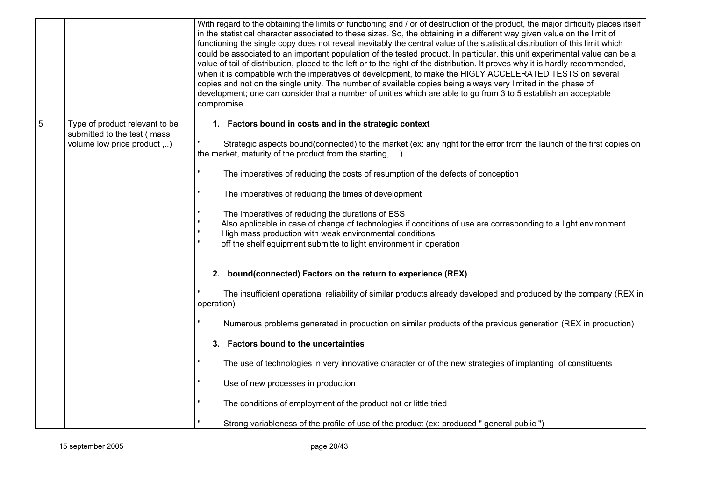|   |                                                            | With regard to the obtaining the limits of functioning and / or of destruction of the product, the major difficulty places itself<br>in the statistical character associated to these sizes. So, the obtaining in a different way given value on the limit of<br>functioning the single copy does not reveal inevitably the central value of the statistical distribution of this limit which<br>could be associated to an important population of the tested product. In particular, this unit experimental value can be a<br>value of tail of distribution, placed to the left or to the right of the distribution. It proves why it is hardly recommended,<br>when it is compatible with the imperatives of development, to make the HIGLY ACCELERATED TESTS on several<br>copies and not on the single unity. The number of available copies being always very limited in the phase of<br>development; one can consider that a number of unities which are able to go from 3 to 5 establish an acceptable<br>compromise. |  |
|---|------------------------------------------------------------|------------------------------------------------------------------------------------------------------------------------------------------------------------------------------------------------------------------------------------------------------------------------------------------------------------------------------------------------------------------------------------------------------------------------------------------------------------------------------------------------------------------------------------------------------------------------------------------------------------------------------------------------------------------------------------------------------------------------------------------------------------------------------------------------------------------------------------------------------------------------------------------------------------------------------------------------------------------------------------------------------------------------------|--|
| 5 | Type of product relevant to be                             | 1. Factors bound in costs and in the strategic context                                                                                                                                                                                                                                                                                                                                                                                                                                                                                                                                                                                                                                                                                                                                                                                                                                                                                                                                                                       |  |
|   | submitted to the test (mass<br>volume low price product ,) | Strategic aspects bound(connected) to the market (ex: any right for the error from the launch of the first copies on<br>the market, maturity of the product from the starting, $\dots$ )                                                                                                                                                                                                                                                                                                                                                                                                                                                                                                                                                                                                                                                                                                                                                                                                                                     |  |
|   |                                                            | The imperatives of reducing the costs of resumption of the defects of conception                                                                                                                                                                                                                                                                                                                                                                                                                                                                                                                                                                                                                                                                                                                                                                                                                                                                                                                                             |  |
|   |                                                            | The imperatives of reducing the times of development                                                                                                                                                                                                                                                                                                                                                                                                                                                                                                                                                                                                                                                                                                                                                                                                                                                                                                                                                                         |  |
|   |                                                            | The imperatives of reducing the durations of ESS<br>Also applicable in case of change of technologies if conditions of use are corresponding to a light environment<br>High mass production with weak environmental conditions<br>off the shelf equipment submitte to light environment in operation                                                                                                                                                                                                                                                                                                                                                                                                                                                                                                                                                                                                                                                                                                                         |  |
|   |                                                            | 2. bound(connected) Factors on the return to experience (REX)                                                                                                                                                                                                                                                                                                                                                                                                                                                                                                                                                                                                                                                                                                                                                                                                                                                                                                                                                                |  |
|   |                                                            | The insufficient operational reliability of similar products already developed and produced by the company (REX in<br>operation)                                                                                                                                                                                                                                                                                                                                                                                                                                                                                                                                                                                                                                                                                                                                                                                                                                                                                             |  |
|   |                                                            | Numerous problems generated in production on similar products of the previous generation (REX in production)                                                                                                                                                                                                                                                                                                                                                                                                                                                                                                                                                                                                                                                                                                                                                                                                                                                                                                                 |  |
|   |                                                            | 3. Factors bound to the uncertainties                                                                                                                                                                                                                                                                                                                                                                                                                                                                                                                                                                                                                                                                                                                                                                                                                                                                                                                                                                                        |  |
|   |                                                            | The use of technologies in very innovative character or of the new strategies of implanting of constituents                                                                                                                                                                                                                                                                                                                                                                                                                                                                                                                                                                                                                                                                                                                                                                                                                                                                                                                  |  |
|   |                                                            | Use of new processes in production                                                                                                                                                                                                                                                                                                                                                                                                                                                                                                                                                                                                                                                                                                                                                                                                                                                                                                                                                                                           |  |
|   |                                                            | The conditions of employment of the product not or little tried                                                                                                                                                                                                                                                                                                                                                                                                                                                                                                                                                                                                                                                                                                                                                                                                                                                                                                                                                              |  |
|   |                                                            | Strong variableness of the profile of use of the product (ex: produced " general public ")                                                                                                                                                                                                                                                                                                                                                                                                                                                                                                                                                                                                                                                                                                                                                                                                                                                                                                                                   |  |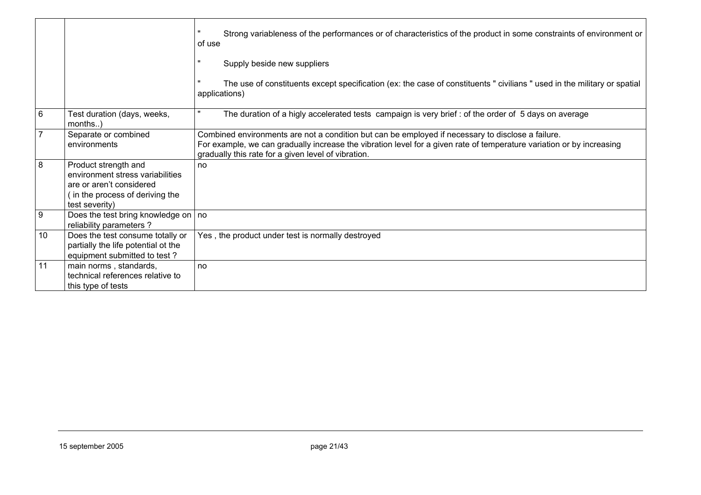|    |                                                                                                                                          | Strong variableness of the performances or of characteristics of the product in some constraints of environment or<br>of use                                                                                                                                                      |
|----|------------------------------------------------------------------------------------------------------------------------------------------|-----------------------------------------------------------------------------------------------------------------------------------------------------------------------------------------------------------------------------------------------------------------------------------|
|    |                                                                                                                                          | Supply beside new suppliers                                                                                                                                                                                                                                                       |
|    |                                                                                                                                          | The use of constituents except specification (ex: the case of constituents " civilians " used in the military or spatial<br>applications)                                                                                                                                         |
| 6  | Test duration (days, weeks,<br>months)                                                                                                   | The duration of a higly accelerated tests campaign is very brief : of the order of 5 days on average                                                                                                                                                                              |
|    | Separate or combined<br>environments                                                                                                     | Combined environments are not a condition but can be employed if necessary to disclose a failure.<br>For example, we can gradually increase the vibration level for a given rate of temperature variation or by increasing<br>gradually this rate for a given level of vibration. |
| 8  | Product strength and<br>environment stress variabilities<br>are or aren't considered<br>in the process of deriving the<br>test severity) | no                                                                                                                                                                                                                                                                                |
| 9  | Does the test bring knowledge on $ $ no<br>reliability parameters ?                                                                      |                                                                                                                                                                                                                                                                                   |
| 10 | Does the test consume totally or<br>partially the life potential ot the<br>equipment submitted to test?                                  | Yes, the product under test is normally destroyed                                                                                                                                                                                                                                 |
| 11 | main norms, standards,<br>technical references relative to<br>this type of tests                                                         | no                                                                                                                                                                                                                                                                                |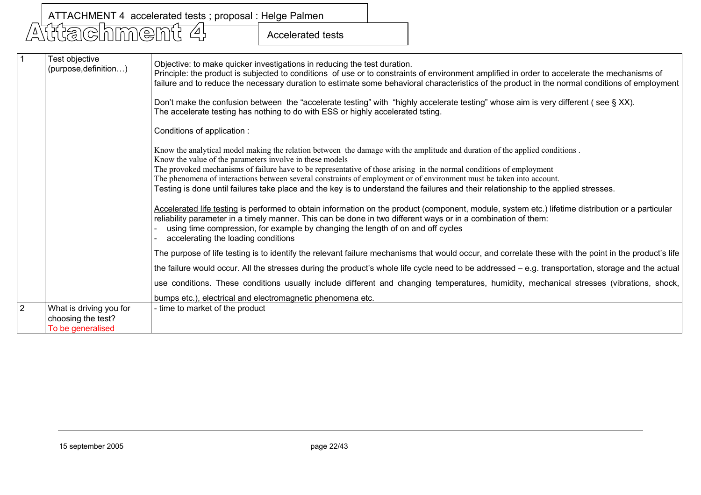Accelerated tests

|   | Test objective<br>(purpose, definition)                            | Objective: to make quicker investigations in reducing the test duration.<br>Principle: the product is subjected to conditions of use or to constraints of environment amplified in order to accelerate the mechanisms of<br>failure and to reduce the necessary duration to estimate some behavioral characteristics of the product in the normal conditions of employment                                                                                                                                                                                                      |
|---|--------------------------------------------------------------------|---------------------------------------------------------------------------------------------------------------------------------------------------------------------------------------------------------------------------------------------------------------------------------------------------------------------------------------------------------------------------------------------------------------------------------------------------------------------------------------------------------------------------------------------------------------------------------|
|   |                                                                    | Don't make the confusion between the "accelerate testing" with "highly accelerate testing" whose aim is very different (see § XX).<br>The accelerate testing has nothing to do with ESS or highly accelerated tsting.                                                                                                                                                                                                                                                                                                                                                           |
|   |                                                                    | Conditions of application :                                                                                                                                                                                                                                                                                                                                                                                                                                                                                                                                                     |
|   |                                                                    | Know the analytical model making the relation between the damage with the amplitude and duration of the applied conditions.<br>Know the value of the parameters involve in these models<br>The provoked mechanisms of failure have to be representative of those arising in the normal conditions of employment<br>The phenomena of interactions between several constraints of employment or of environment must be taken into account.<br>Testing is done until failures take place and the key is to understand the failures and their relationship to the applied stresses. |
|   |                                                                    | Accelerated life testing is performed to obtain information on the product (component, module, system etc.) lifetime distribution or a particular<br>reliability parameter in a timely manner. This can be done in two different ways or in a combination of them:<br>using time compression, for example by changing the length of on and off cycles<br>accelerating the loading conditions                                                                                                                                                                                    |
|   |                                                                    | The purpose of life testing is to identify the relevant failure mechanisms that would occur, and correlate these with the point in the product's life                                                                                                                                                                                                                                                                                                                                                                                                                           |
|   |                                                                    | the failure would occur. All the stresses during the product's whole life cycle need to be addressed – e.g. transportation, storage and the actual                                                                                                                                                                                                                                                                                                                                                                                                                              |
|   |                                                                    | use conditions. These conditions usually include different and changing temperatures, humidity, mechanical stresses (vibrations, shock,                                                                                                                                                                                                                                                                                                                                                                                                                                         |
|   |                                                                    | bumps etc.), electrical and electromagnetic phenomena etc.                                                                                                                                                                                                                                                                                                                                                                                                                                                                                                                      |
| っ | What is driving you for<br>choosing the test?<br>To be generalised | - time to market of the product                                                                                                                                                                                                                                                                                                                                                                                                                                                                                                                                                 |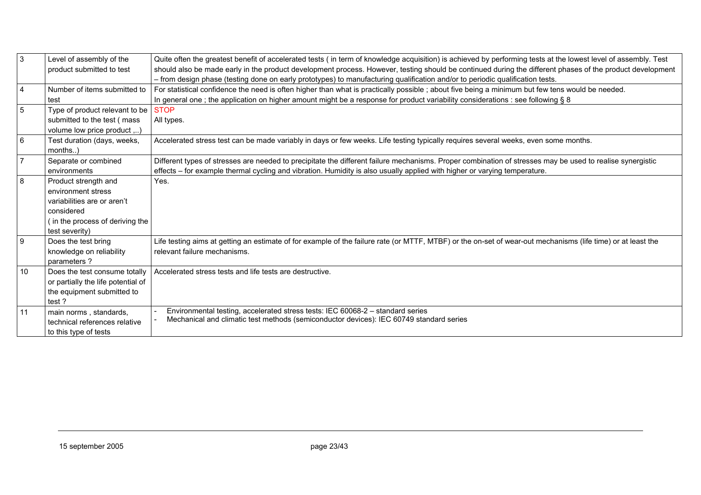| $\mathbf{3}$    | Level of assembly of the<br>product submitted to test | Quite often the greatest benefit of accelerated tests (in term of knowledge acquisition) is achieved by performing tests at the lowest level of assembly. Test<br>should also be made early in the product development process. However, testing should be continued during the different phases of the product development<br>- from design phase (testing done on early prototypes) to manufacturing qualification and/or to periodic qualification tests. |
|-----------------|-------------------------------------------------------|--------------------------------------------------------------------------------------------------------------------------------------------------------------------------------------------------------------------------------------------------------------------------------------------------------------------------------------------------------------------------------------------------------------------------------------------------------------|
| $\overline{4}$  | Number of items submitted to                          | For statistical confidence the need is often higher than what is practically possible; about five being a minimum but few tens would be needed.                                                                                                                                                                                                                                                                                                              |
|                 | test                                                  | In general one; the application on higher amount might be a response for product variability considerations : see following § 8                                                                                                                                                                                                                                                                                                                              |
| $5\phantom{.0}$ | Type of product relevant to be                        | <b>STOP</b>                                                                                                                                                                                                                                                                                                                                                                                                                                                  |
|                 | submitted to the test (mass                           | All types.                                                                                                                                                                                                                                                                                                                                                                                                                                                   |
|                 | volume low price product ,)                           |                                                                                                                                                                                                                                                                                                                                                                                                                                                              |
| $6\phantom{1}$  | Test duration (days, weeks,                           | Accelerated stress test can be made variably in days or few weeks. Life testing typically requires several weeks, even some months.                                                                                                                                                                                                                                                                                                                          |
|                 | $months$ )                                            |                                                                                                                                                                                                                                                                                                                                                                                                                                                              |
| $\overline{7}$  | Separate or combined                                  | Different types of stresses are needed to precipitate the different failure mechanisms. Proper combination of stresses may be used to realise synergistic                                                                                                                                                                                                                                                                                                    |
|                 | environments                                          | effects – for example thermal cycling and vibration. Humidity is also usually applied with higher or varying temperature.                                                                                                                                                                                                                                                                                                                                    |
| 8               | Product strength and                                  | Yes.                                                                                                                                                                                                                                                                                                                                                                                                                                                         |
|                 | environment stress                                    |                                                                                                                                                                                                                                                                                                                                                                                                                                                              |
|                 | variabilities are or aren't                           |                                                                                                                                                                                                                                                                                                                                                                                                                                                              |
|                 | considered                                            |                                                                                                                                                                                                                                                                                                                                                                                                                                                              |
|                 | (in the process of deriving the                       |                                                                                                                                                                                                                                                                                                                                                                                                                                                              |
|                 | test severity)                                        |                                                                                                                                                                                                                                                                                                                                                                                                                                                              |
| 9               | Does the test bring                                   | Life testing aims at getting an estimate of for example of the failure rate (or MTTF, MTBF) or the on-set of wear-out mechanisms (life time) or at least the                                                                                                                                                                                                                                                                                                 |
|                 | knowledge on reliability                              | relevant failure mechanisms.                                                                                                                                                                                                                                                                                                                                                                                                                                 |
|                 | parameters?                                           |                                                                                                                                                                                                                                                                                                                                                                                                                                                              |
| 10              | Does the test consume totally                         | Accelerated stress tests and life tests are destructive.                                                                                                                                                                                                                                                                                                                                                                                                     |
|                 | or partially the life potential of                    |                                                                                                                                                                                                                                                                                                                                                                                                                                                              |
|                 | the equipment submitted to                            |                                                                                                                                                                                                                                                                                                                                                                                                                                                              |
|                 | test?                                                 |                                                                                                                                                                                                                                                                                                                                                                                                                                                              |
| 11              | main norms, standards,                                | Environmental testing, accelerated stress tests: IEC 60068-2 - standard series                                                                                                                                                                                                                                                                                                                                                                               |
|                 | technical references relative                         | Mechanical and climatic test methods (semiconductor devices): IEC 60749 standard series                                                                                                                                                                                                                                                                                                                                                                      |
|                 | to this type of tests                                 |                                                                                                                                                                                                                                                                                                                                                                                                                                                              |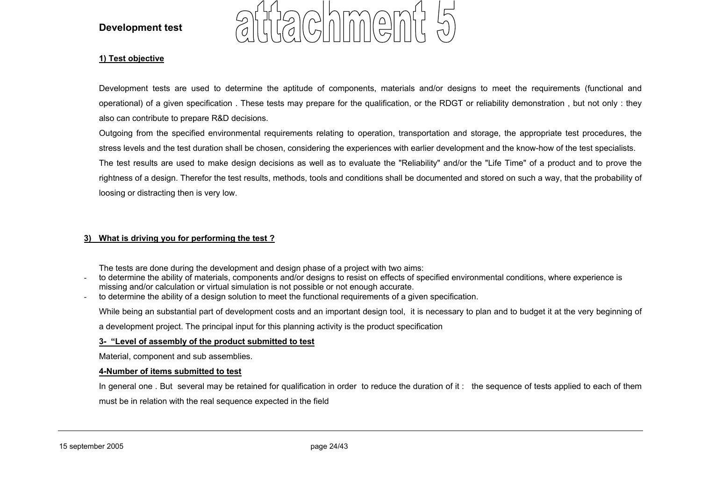#### **Development test**



#### **1) Test objective**

Development tests are used to determine the aptitude of components, materials and/or designs to meet the requirements (functional and operational) of a given specification . These tests may prepare for the qualification, or the RDGT or reliability demonstration , but not only : they also can contribute to prepare R&D decisions.

Outgoing from the specified environmental requirements relating to operation, transportation and storage, the appropriate test procedures, the stress levels and the test duration shall be chosen, considering the experiences with earlier development and the know-how of the test specialists. The test results are used to make design decisions as well as to evaluate the "Reliability" and/or the "Life Time" of a product and to prove the rightness of a design. Therefor the test results, methods, tools and conditions shall be documented and stored on such a way, that the probability of loosing or distracting then is very low.

#### **3) What is driving you for performing the test ?**

The tests are done during the development and design phase of a project with two aims:

- to determine the ability of materials, components and/or designs to resist on effects of specified environmental conditions, where experience is missing and/or calculation or virtual simulation is not possible or not enough accurate.
- to determine the ability of a design solution to meet the functional requirements of a given specification.

While being an substantial part of development costs and an important design tool, it is necessary to plan and to budget it at the very beginning of

a development project. The principal input for this planning activity is the product specification

#### **3- "Level of assembly of the product submitted to test**

Material, component and sub assemblies.

#### **4-Number of items submitted to test**

In general one . But several may be retained for qualification in order to reduce the duration of it : the sequence of tests applied to each of them must be in relation with the real sequence expected in the field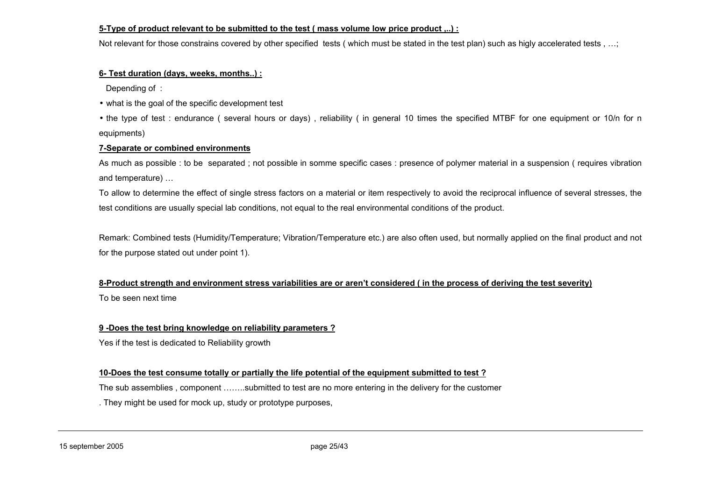#### **5-Type of product relevant to be submitted to the test ( mass volume low price product ,..) :**

Not relevant for those constrains covered by other specified tests ( which must be stated in the test plan) such as higly accelerated tests , …;

#### **6- Test duration (days, weeks, months..) :**

Depending of :

- what is the goal of the specific development test
- the type of test : endurance ( several hours or days) , reliability ( in general 10 times the specified MTBF for one equipment or 10/n for n equipments)

#### **7-Separate or combined environments**

As much as possible : to be separated ; not possible in somme specific cases : presence of polymer material in a suspension ( requires vibration and temperature) …

To allow to determine the effect of single stress factors on a material or item respectively to avoid the reciprocal influence of several stresses, the test conditions are usually special lab conditions, not equal to the real environmental conditions of the product.

Remark: Combined tests (Humidity/Temperature; Vibration/Temperature etc.) are also often used, but normally applied on the final product and not for the purpose stated out under point 1).

# **8-Product strength and environment stress variabilities are or aren't considered ( in the process of deriving the test severity)**

To be seen next time

#### **9 -Does the test bring knowledge on reliability parameters ?**

Yes if the test is dedicated to Reliability growth

#### **10-Does the test consume totally or partially the life potential of the equipment submitted to test ?**

The sub assemblies , component ……..submitted to test are no more entering in the delivery for the customer

. They might be used for mock up, study or prototype purposes,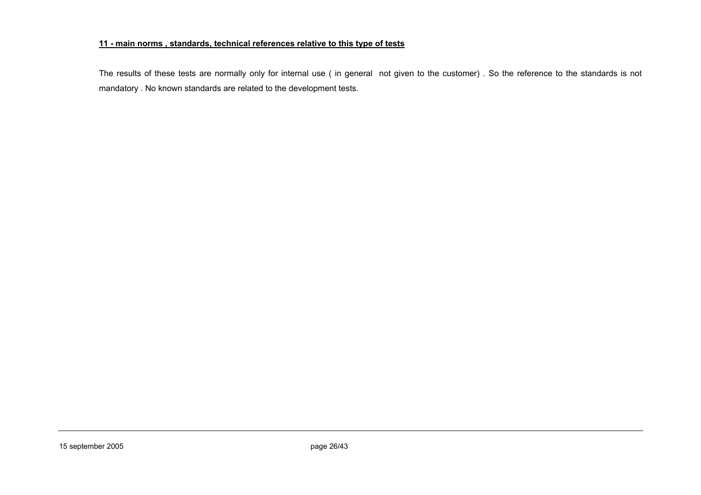#### **11 - main norms , standards, technical references relative to this type of tests**

The results of these tests are normally only for internal use ( in general not given to the customer) . So the reference to the standards is not mandatory . No known standards are related to the development tests.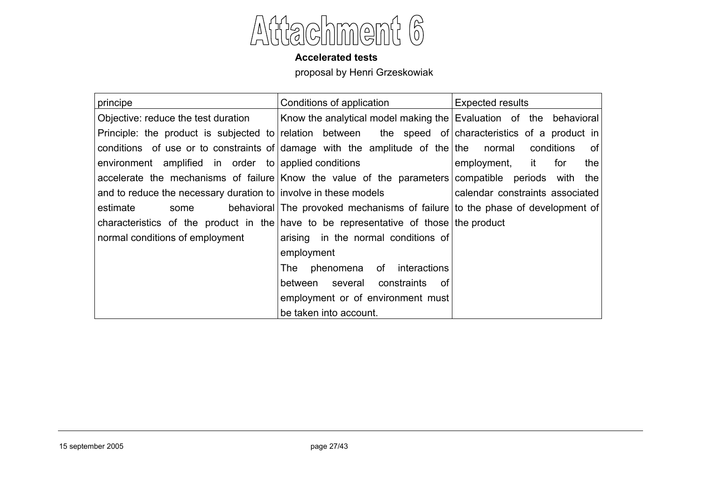

#### **Accelerated tests**

proposal by Henri Grzeskowiak

| principe                                                                                             | Conditions of application                                                    | <b>Expected results</b>           |  |
|------------------------------------------------------------------------------------------------------|------------------------------------------------------------------------------|-----------------------------------|--|
| Objective: reduce the test duration                                                                  | Know the analytical model making the Evaluation of the behavioral            |                                   |  |
| Principle: the product is subjected to relation between the speed of characteristics of a product in |                                                                              |                                   |  |
| conditions of use or to constraints of damage with the amplitude of the the normal                   |                                                                              | conditions<br>of l                |  |
| environment amplified in order to applied conditions                                                 |                                                                              | employment,<br>for<br>the<br>it i |  |
| accelerate the mechanisms of failure Know the value of the parameters compatible periods with        |                                                                              | the                               |  |
| and to reduce the necessary duration to involve in these models                                      |                                                                              | calendar constraints associated   |  |
| estimate<br>some                                                                                     | behavioral The provoked mechanisms of failure to the phase of development of |                                   |  |
| characteristics of the product in the have to be representative of those the product                 |                                                                              |                                   |  |
| normal conditions of employment                                                                      | arising in the normal conditions of                                          |                                   |  |
|                                                                                                      | employment                                                                   |                                   |  |
|                                                                                                      | phenomena of interactions<br>The                                             |                                   |  |
|                                                                                                      | between several constraints<br>. of                                          |                                   |  |
|                                                                                                      | employment or of environment must                                            |                                   |  |
|                                                                                                      | be taken into account.                                                       |                                   |  |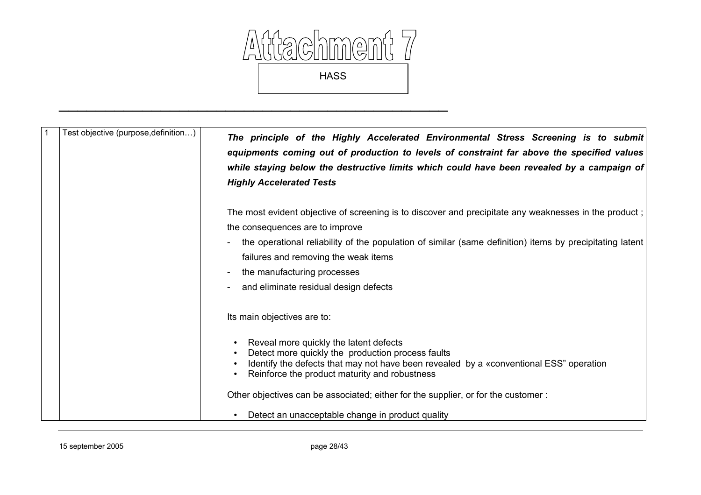

 $\mathcal{L}_\mathcal{L}$  , and the contribution of the contribution of the contribution of the contribution of the contribution of the contribution of the contribution of the contribution of the contribution of the contribution of

| Test objective (purpose, definition) | The principle of the Highly Accelerated Environmental Stress Screening is to submit<br>equipments coming out of production to levels of constraint far above the specified values<br>while staying below the destructive limits which could have been revealed by a campaign of<br><b>Highly Accelerated Tests</b> |
|--------------------------------------|--------------------------------------------------------------------------------------------------------------------------------------------------------------------------------------------------------------------------------------------------------------------------------------------------------------------|
|                                      | The most evident objective of screening is to discover and precipitate any weaknesses in the product;<br>the consequences are to improve                                                                                                                                                                           |
|                                      | the operational reliability of the population of similar (same definition) items by precipitating latent                                                                                                                                                                                                           |
|                                      | failures and removing the weak items                                                                                                                                                                                                                                                                               |
|                                      | the manufacturing processes                                                                                                                                                                                                                                                                                        |
|                                      | and eliminate residual design defects                                                                                                                                                                                                                                                                              |
|                                      | Its main objectives are to:                                                                                                                                                                                                                                                                                        |
|                                      | Reveal more quickly the latent defects<br>Detect more quickly the production process faults<br>Identify the defects that may not have been revealed by a «conventional ESS" operation<br>Reinforce the product maturity and robustness                                                                             |
|                                      | Other objectives can be associated; either for the supplier, or for the customer:                                                                                                                                                                                                                                  |
|                                      | Detect an unacceptable change in product quality                                                                                                                                                                                                                                                                   |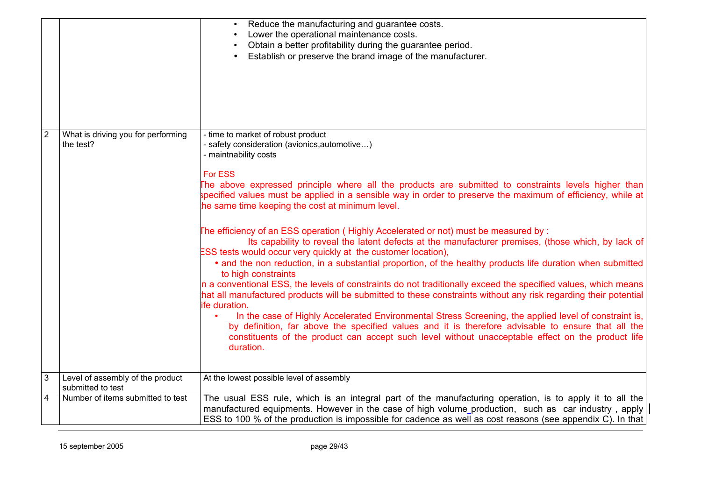|                |                                                       | Reduce the manufacturing and guarantee costs.<br>Lower the operational maintenance costs.<br>Obtain a better profitability during the guarantee period.<br>Establish or preserve the brand image of the manufacturer.                                                                                                                                                                           |
|----------------|-------------------------------------------------------|-------------------------------------------------------------------------------------------------------------------------------------------------------------------------------------------------------------------------------------------------------------------------------------------------------------------------------------------------------------------------------------------------|
| $\overline{2}$ | What is driving you for performing<br>the test?       | - time to market of robust product<br>- safety consideration (avionics, automotive)                                                                                                                                                                                                                                                                                                             |
|                |                                                       | - maintnability costs<br><b>For ESS</b><br>The above expressed principle where all the products are submitted to constraints levels higher than<br>specified values must be applied in a sensible way in order to preserve the maximum of efficiency, while at<br>the same time keeping the cost at minimum level.                                                                              |
|                |                                                       | The efficiency of an ESS operation (Highly Accelerated or not) must be measured by:<br>Its capability to reveal the latent defects at the manufacturer premises, (those which, by lack of<br>ESS tests would occur very quickly at the customer location),<br>• and the non reduction, in a substantial proportion, of the healthy products life duration when submitted<br>to high constraints |
|                |                                                       | In a conventional ESS, the levels of constraints do not traditionally exceed the specified values, which means<br>hat all manufactured products will be submitted to these constraints without any risk regarding their potential<br>ife duration.                                                                                                                                              |
|                |                                                       | In the case of Highly Accelerated Environmental Stress Screening, the applied level of constraint is,<br>by definition, far above the specified values and it is therefore advisable to ensure that all the<br>constituents of the product can accept such level without unacceptable effect on the product life<br>duration.                                                                   |
| $\overline{3}$ | Level of assembly of the product<br>submitted to test | At the lowest possible level of assembly                                                                                                                                                                                                                                                                                                                                                        |
| $\overline{4}$ | Number of items submitted to test                     | The usual ESS rule, which is an integral part of the manufacturing operation, is to apply it to all the<br>manufactured equipments. However in the case of high volume production, such as car industry, apply<br>ESS to 100 % of the production is impossible for cadence as well as cost reasons (see appendix C). In that                                                                    |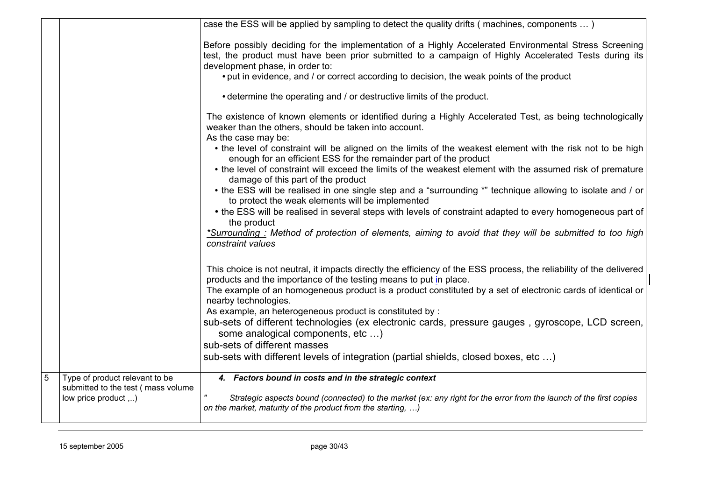|   |                                                                      | case the ESS will be applied by sampling to detect the quality drifts (machines, components )                                                                                                                   |
|---|----------------------------------------------------------------------|-----------------------------------------------------------------------------------------------------------------------------------------------------------------------------------------------------------------|
|   |                                                                      | Before possibly deciding for the implementation of a Highly Accelerated Environmental Stress Screening<br>test, the product must have been prior submitted to a campaign of Highly Accelerated Tests during its |
|   |                                                                      | development phase, in order to:                                                                                                                                                                                 |
|   |                                                                      | • put in evidence, and / or correct according to decision, the weak points of the product                                                                                                                       |
|   |                                                                      | • determine the operating and / or destructive limits of the product.                                                                                                                                           |
|   |                                                                      | The existence of known elements or identified during a Highly Accelerated Test, as being technologically<br>weaker than the others, should be taken into account.<br>As the case may be:                        |
|   |                                                                      | • the level of constraint will be aligned on the limits of the weakest element with the risk not to be high<br>enough for an efficient ESS for the remainder part of the product                                |
|   |                                                                      | • the level of constraint will exceed the limits of the weakest element with the assumed risk of premature<br>damage of this part of the product                                                                |
|   |                                                                      | • the ESS will be realised in one single step and a "surrounding *" technique allowing to isolate and / or<br>to protect the weak elements will be implemented                                                  |
|   |                                                                      | • the ESS will be realised in several steps with levels of constraint adapted to every homogeneous part of<br>the product                                                                                       |
|   |                                                                      | *Surrounding : Method of protection of elements, aiming to avoid that they will be submitted to too high<br>constraint values                                                                                   |
|   |                                                                      | This choice is not neutral, it impacts directly the efficiency of the ESS process, the reliability of the delivered<br>products and the importance of the testing means to put in place.                        |
|   |                                                                      | The example of an homogeneous product is a product constituted by a set of electronic cards of identical or<br>nearby technologies.                                                                             |
|   |                                                                      | As example, an heterogeneous product is constituted by :                                                                                                                                                        |
|   |                                                                      | sub-sets of different technologies (ex electronic cards, pressure gauges, gyroscope, LCD screen,<br>some analogical components, etc )                                                                           |
|   |                                                                      | sub-sets of different masses                                                                                                                                                                                    |
|   |                                                                      | sub-sets with different levels of integration (partial shields, closed boxes, etc )                                                                                                                             |
| 5 | Type of product relevant to be<br>submitted to the test (mass volume | 4. Factors bound in costs and in the strategic context                                                                                                                                                          |
|   | low price product ,)                                                 | Strategic aspects bound (connected) to the market (ex: any right for the error from the launch of the first copies<br>on the market, maturity of the product from the starting, )                               |
|   |                                                                      |                                                                                                                                                                                                                 |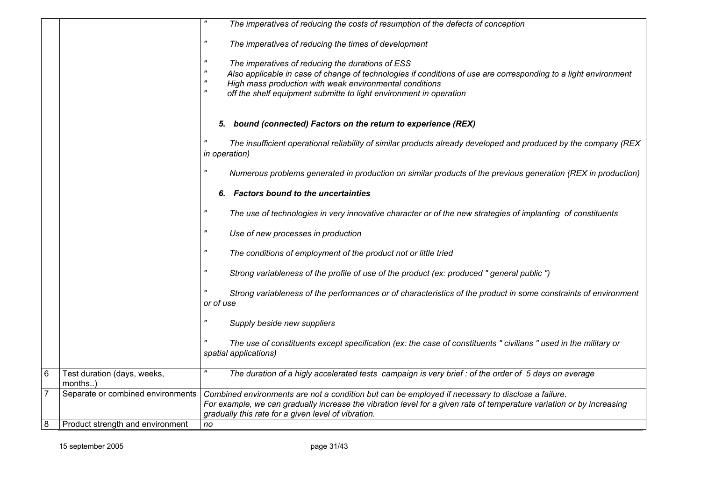|                 |                                        | The imperatives of reducing the costs of resumption of the defects of conception                                                                                                                                                                                                                     |
|-----------------|----------------------------------------|------------------------------------------------------------------------------------------------------------------------------------------------------------------------------------------------------------------------------------------------------------------------------------------------------|
|                 |                                        | The imperatives of reducing the times of development                                                                                                                                                                                                                                                 |
|                 |                                        | The imperatives of reducing the durations of ESS<br>Also applicable in case of change of technologies if conditions of use are corresponding to a light environment<br>High mass production with weak environmental conditions<br>off the shelf equipment submitte to light environment in operation |
|                 |                                        | 5. bound (connected) Factors on the return to experience (REX)                                                                                                                                                                                                                                       |
|                 |                                        | The insufficient operational reliability of similar products already developed and produced by the company (REX<br>in operation)                                                                                                                                                                     |
|                 |                                        | Numerous problems generated in production on similar products of the previous generation (REX in production)                                                                                                                                                                                         |
|                 |                                        | 6. Factors bound to the uncertainties                                                                                                                                                                                                                                                                |
|                 |                                        | The use of technologies in very innovative character or of the new strategies of implanting of constituents                                                                                                                                                                                          |
|                 |                                        | Use of new processes in production                                                                                                                                                                                                                                                                   |
|                 |                                        | The conditions of employment of the product not or little tried                                                                                                                                                                                                                                      |
|                 |                                        | Strong variableness of the profile of use of the product (ex: produced " general public ")                                                                                                                                                                                                           |
|                 |                                        | Strong variableness of the performances or of characteristics of the product in some constraints of environment<br>or of use                                                                                                                                                                         |
|                 |                                        | Supply beside new suppliers                                                                                                                                                                                                                                                                          |
|                 |                                        | The use of constituents except specification (ex: the case of constituents " civilians " used in the military or<br>spatial applications)                                                                                                                                                            |
| $6\phantom{1}6$ | Test duration (days, weeks,<br>months) | The duration of a higly accelerated tests campaign is very brief : of the order of 5 days on average                                                                                                                                                                                                 |
| 7               | Separate or combined environments      | Combined environments are not a condition but can be employed if necessary to disclose a failure.<br>For example, we can gradually increase the vibration level for a given rate of temperature variation or by increasing<br>gradually this rate for a given level of vibration.                    |
| $\bf 8$         | Product strength and environment       | no                                                                                                                                                                                                                                                                                                   |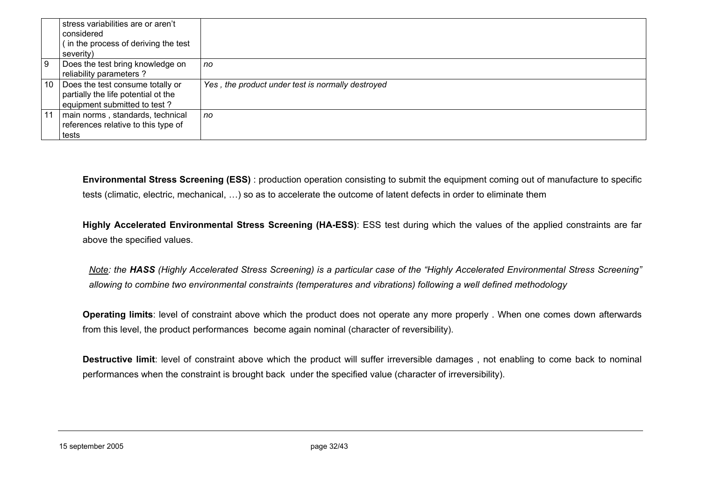|     | stress variabilities are or aren't<br>considered                                                        |                                                   |
|-----|---------------------------------------------------------------------------------------------------------|---------------------------------------------------|
|     | (in the process of deriving the test<br>severity)                                                       |                                                   |
| l 9 | Does the test bring knowledge on<br>reliability parameters ?                                            | no                                                |
| 10  | Does the test consume totally or<br>partially the life potential ot the<br>equipment submitted to test? | Yes, the product under test is normally destroyed |
|     | main norms, standards, technical<br>references relative to this type of<br>tests                        | no                                                |

**Environmental Stress Screening (ESS)** : production operation consisting to submit the equipment coming out of manufacture to specific tests (climatic, electric, mechanical, …) so as to accelerate the outcome of latent defects in order to eliminate them

**Highly Accelerated Environmental Stress Screening (HA-ESS)**: ESS test during which the values of the applied constraints are far above the specified values.

*Note: the HASS (Highly Accelerated Stress Screening) is a particular case of the "Highly Accelerated Environmental Stress Screening" allowing to combine two environmental constraints (temperatures and vibrations) following a well defined methodology*

**Operating limits**: level of constraint above which the product does not operate any more properly . When one comes down afterwards from this level, the product performances become again nominal (character of reversibility).

**Destructive limit**: level of constraint above which the product will suffer irreversible damages , not enabling to come back to nominal performances when the constraint is brought back under the specified value (character of irreversibility).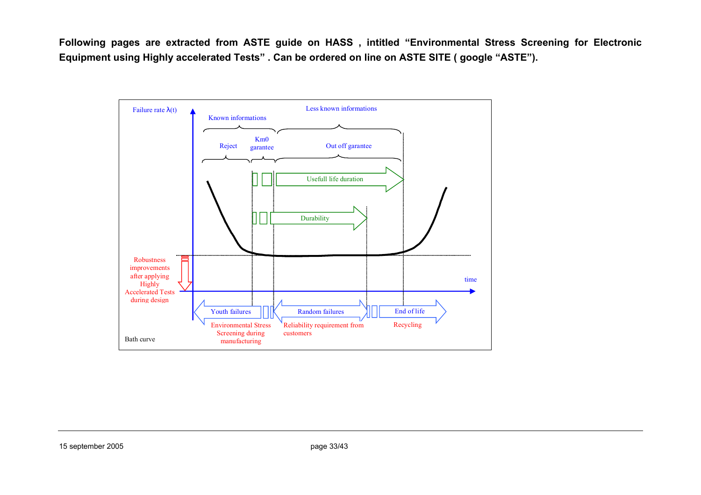**Following pages are extracted from ASTE guide on HASS , intitled "Environmental Stress Screening for Electronic Equipment using Highly accelerated Tests" . Can be ordered on line on ASTE SITE ( google "ASTE").**

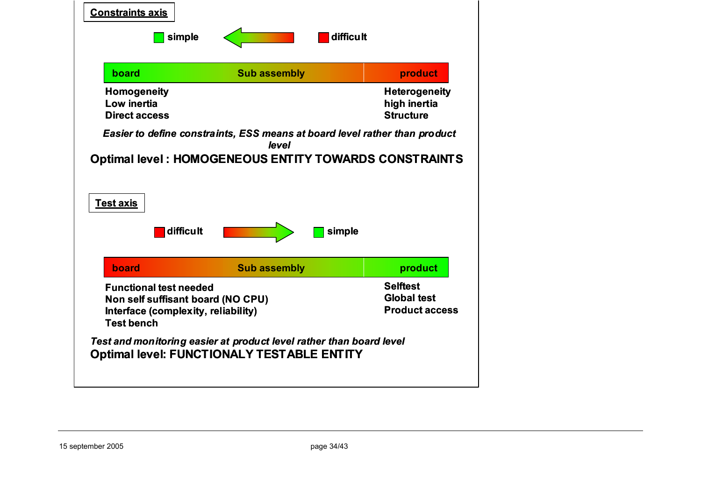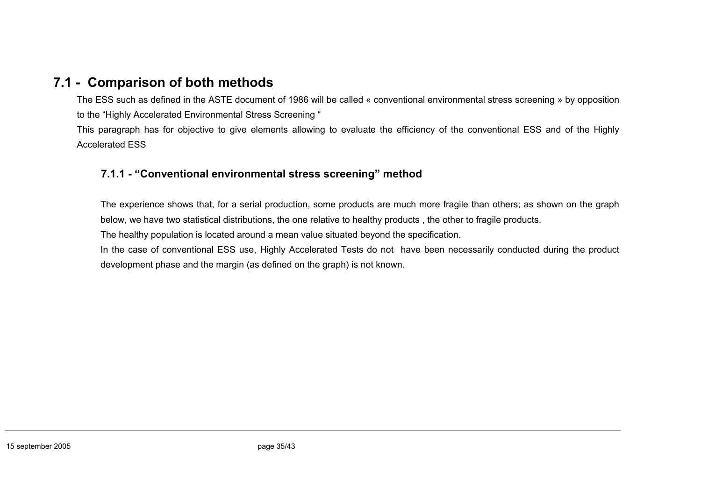# **7.1 - Comparison of both methods**

The ESS such as defined in the ASTE document of 1986 will be called « conventional environmental stress screening » by opposition to the "Highly Accelerated Environmental Stress Screening "

This paragraph has for objective to give elements allowing to evaluate the efficiency of the conventional ESS and of the Highly Accelerated ESS

# **7.1.1 - "Conventional environmental stress screening" method**

The experience shows that, for a serial production, some products are much more fragile than others; as shown on the graph below, we have two statistical distributions, the one relative to healthy products , the other to fragile products.

The healthy population is located around a mean value situated beyond the specification.

In the case of conventional ESS use, Highly Accelerated Tests do not have been necessarily conducted during the product development phase and the margin (as defined on the graph) is not known.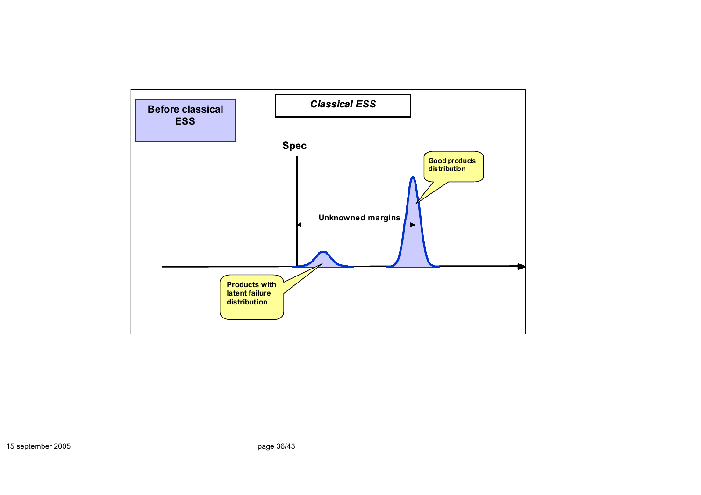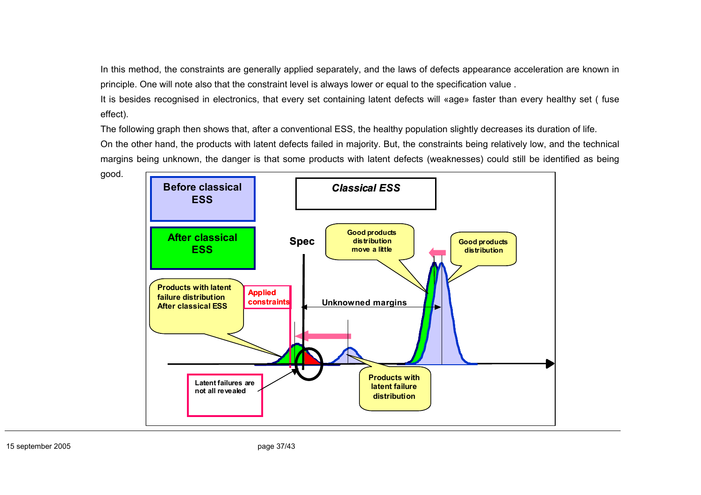In this method, the constraints are generally applied separately, and the laws of defects appearance acceleration are known in principle. One will note also that the constraint level is always lower or equal to the specification value .

It is besides recognised in electronics, that every set containing latent defects will «age» faster than every healthy set ( fuse effect).

The following graph then shows that, after a conventional ESS, the healthy population slightly decreases its duration of life. On the other hand, the products with latent defects failed in majority. But, the constraints being relatively low, and the technical margins being unknown, the danger is that some products with latent defects (weaknesses) could still be identified as being



good.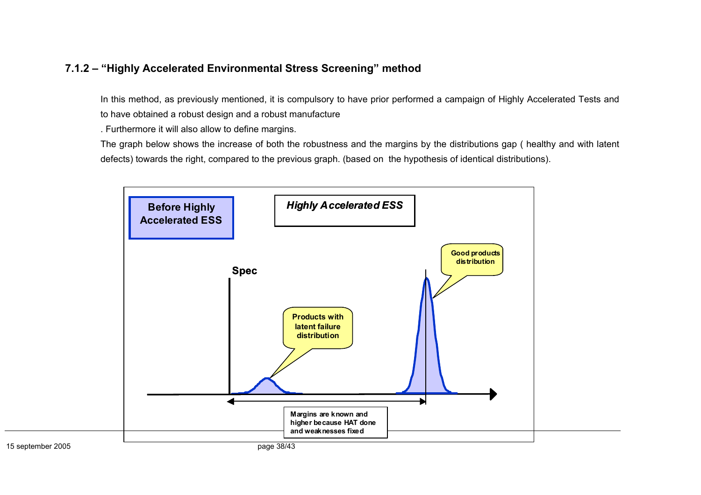# **7.1.2 – "Highly Accelerated Environmental Stress Screening" method**

In this method, as previously mentioned, it is compulsory to have prior performed a campaign of Highly Accelerated Tests and to have obtained a robust design and a robust manufacture

. Furthermore it will also allow to define margins.

The graph below shows the increase of both the robustness and the margins by the distributions gap ( healthy and with latent defects) towards the right, compared to the previous graph. (based on the hypothesis of identical distributions).

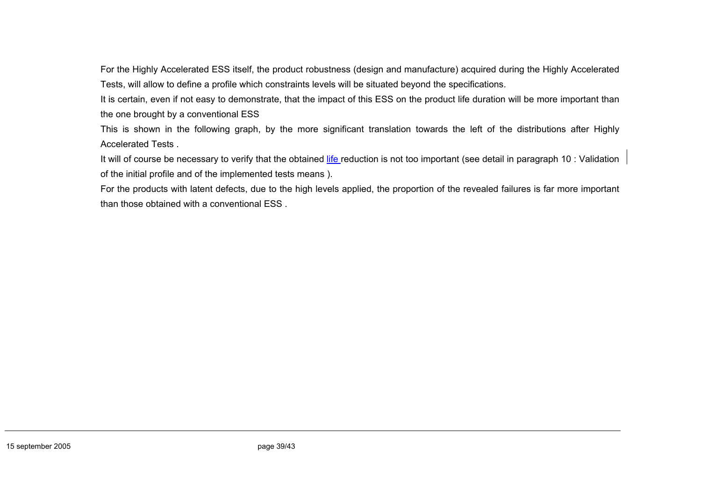For the Highly Accelerated ESS itself, the product robustness (design and manufacture) acquired during the Highly Accelerated Tests, will allow to define a profile which constraints levels will be situated beyond the specifications.

It is certain, even if not easy to demonstrate, that the impact of this ESS on the product life duration will be more important than the one brought by a conventional ESS

This is shown in the following graph, by the more significant translation towards the left of the distributions after Highly Accelerated Tests .

It will of course be necessary to verify that the obtained life reduction is not too important (see detail in paragraph 10 : Validation of the initial profile and of the implemented tests means ).

For the products with latent defects, due to the high levels applied, the proportion of the revealed failures is far more important than those obtained with a conventional ESS .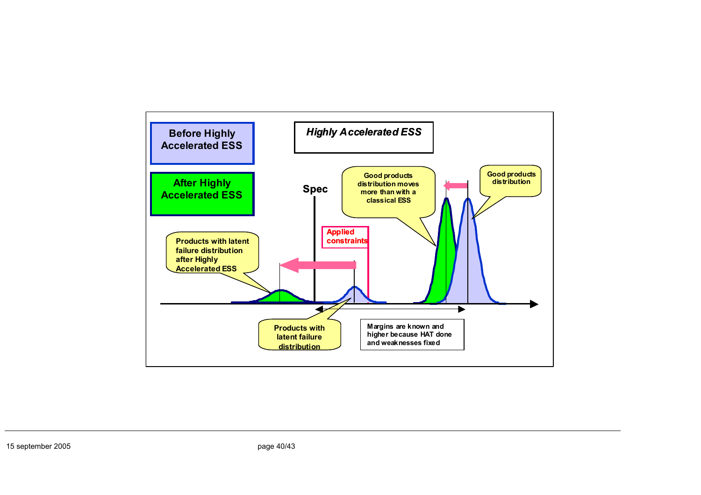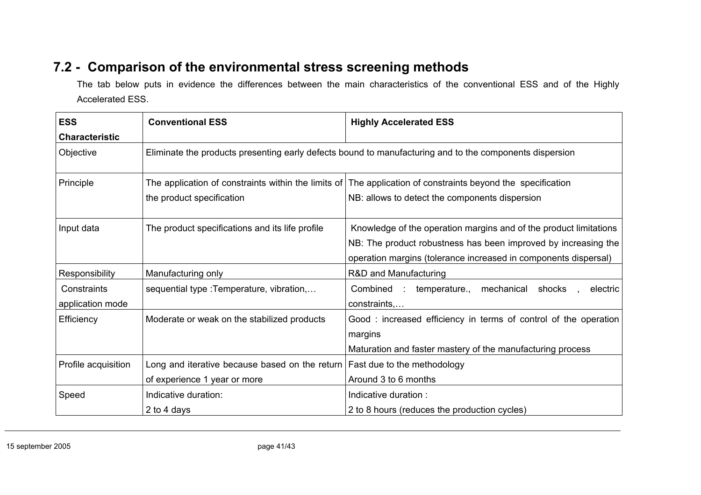# **7.2 - Comparison of the environmental stress screening methods**

The tab below puts in evidence the differences between the main characteristics of the conventional ESS and of the Highly Accelerated ESS.

| <b>ESS</b>                      | <b>Conventional ESS</b>                                                                                 | <b>Highly Accelerated ESS</b>                                                                                                                                                                          |
|---------------------------------|---------------------------------------------------------------------------------------------------------|--------------------------------------------------------------------------------------------------------------------------------------------------------------------------------------------------------|
| <b>Characteristic</b>           |                                                                                                         |                                                                                                                                                                                                        |
| Objective                       | Eliminate the products presenting early defects bound to manufacturing and to the components dispersion |                                                                                                                                                                                                        |
| Principle                       | the product specification                                                                               | The application of constraints within the limits of The application of constraints beyond the specification<br>NB: allows to detect the components dispersion                                          |
| Input data                      | The product specifications and its life profile                                                         | Knowledge of the operation margins and of the product limitations<br>NB: The product robustness has been improved by increasing the<br>operation margins (tolerance increased in components dispersal) |
| Responsibility                  | Manufacturing only                                                                                      | R&D and Manufacturing                                                                                                                                                                                  |
| Constraints<br>application mode | sequential type : Temperature, vibration,                                                               | temperature.,<br>Combined :<br>mechanical shocks,<br>electric<br>constraints,                                                                                                                          |
| Efficiency                      | Moderate or weak on the stabilized products                                                             | Good: increased efficiency in terms of control of the operation<br>margins<br>Maturation and faster mastery of the manufacturing process                                                               |
| Profile acquisition             | Long and iterative because based on the return<br>of experience 1 year or more                          | Fast due to the methodology<br>Around 3 to 6 months                                                                                                                                                    |
| Speed                           | Indicative duration:<br>2 to 4 days                                                                     | Indicative duration:<br>2 to 8 hours (reduces the production cycles)                                                                                                                                   |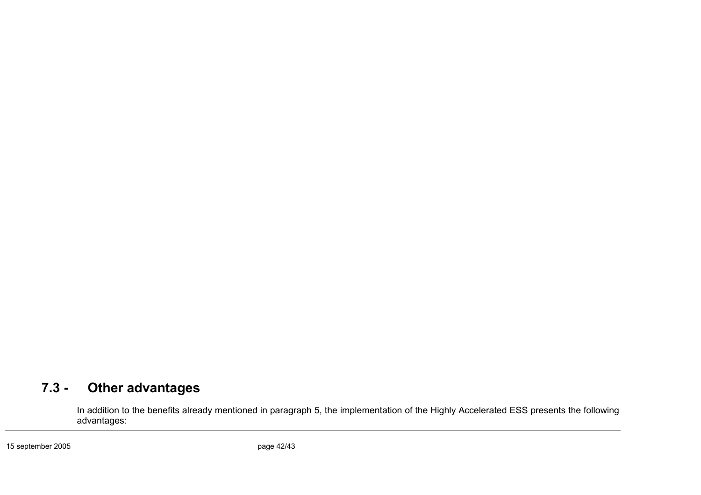# **7.3 - Other advantages**

In addition to the benefits already mentioned in paragraph 5, the implementation of the Highly Accelerated ESS presents the following advantages: